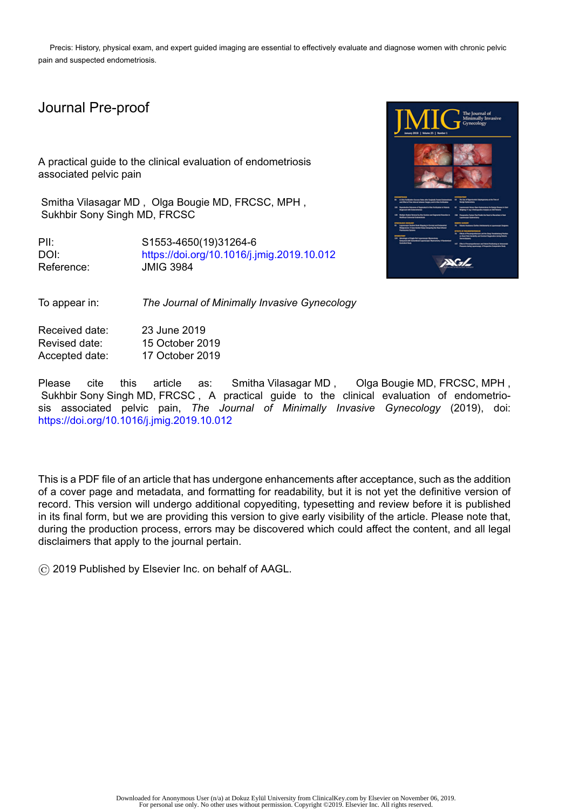Precis: History, physical exam, and expert guided imaging are essential to effectively evaluate and diagnose women with chronic pelvic pain and suspected endometriosis.

# Journal Pre-proof

A practical guide to the clinical evaluation of endometriosis associated pelvic pain

Smitha Vilasagar MD , Olga Bougie MD, FRCSC, MPH , Sukhbir Sony Singh MD, FRCSC

PII: S1553-4650(19)31264-6 DOI: <https://doi.org/10.1016/j.jmig.2019.10.012> Reference: JMIG 3984



To appear in: *The Journal of Minimally Invasive Gynecology*

Received date: 23 June 2019 Revised date: 15 October 2019 Accepted date: 17 October 2019

Please cite this article as: Smitha Vilasagar MD , Olga Bougie MD, FRCSC, MPH , Sukhbir Sony Singh MD, FRCSC , A practical guide to the clinical evaluation of endometriosis associated pelvic pain, *The Journal of Minimally Invasive Gynecology* (2019), doi: <https://doi.org/10.1016/j.jmig.2019.10.012>

This is a PDF file of an article that has undergone enhancements after acceptance, such as the addition of a cover page and metadata, and formatting for readability, but it is not yet the definitive version of record. This version will undergo additional copyediting, typesetting and review before it is published in its final form, but we are providing this version to give early visibility of the article. Please note that, during the production process, errors may be discovered which could affect the content, and all legal disclaimers that apply to the journal pertain.

© 2019 Published by Elsevier Inc. on behalf of AAGL.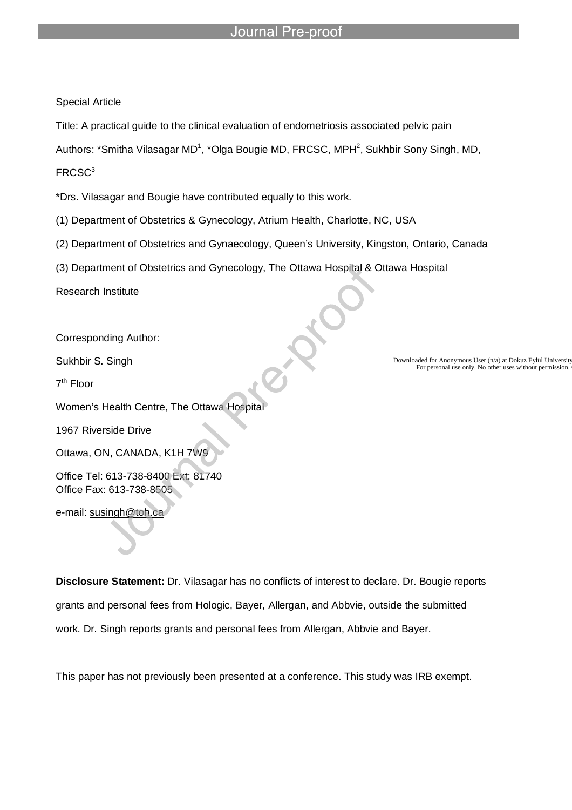#### Special Article

Title: A practical guide to the clinical evaluation of endometriosis associated pelvic pain

Authors: \*Smitha Vilasagar MD<sup>1</sup>, \*Olga Bougie MD, FRCSC, MPH<sup>2</sup>, Sukhbir Sony Singh, MD,

### FRCSC<sup>3</sup>

\*Drs. Vilasagar and Bougie have contributed equally to this work.

l

(1) Department of Obstetrics & Gynecology, Atrium Health, Charlotte, NC, USA

- (2) Department of Obstetrics and Gynaecology, Queen's University, Kingston, Ontario, Canada
- (3) Department of Obstetrics and Gynecology, The Ottawa Hospital & Ottawa Hospital

Research Institute

Corresponding Author:

Sukhbir S. Singh

7<sup>th</sup> Floor

Women's Health Centre, The Ottawa Hospital

1967 Riverside Drive

Ottawa, ON, CANADA, K1H 7W9

Office Tel: 613-738-8400 Ext: 81740 Office Fax: 613-738-8505

e-mail: susingh@toh.ca

Downloaded for Anonymous User (n/a) at Dokuz Eylül University<br>For personal use only. No other uses without permission.

**Disclosure Statement:** Dr. Vilasagar has no conflicts of interest to declare. Dr. Bougie reports grants and personal fees from Hologic, Bayer, Allergan, and Abbvie, outside the submitted work. Dr. Singh reports grants and personal fees from Allergan, Abbvie and Bayer.

This paper has not previously been presented at a conference. This study was IRB exempt.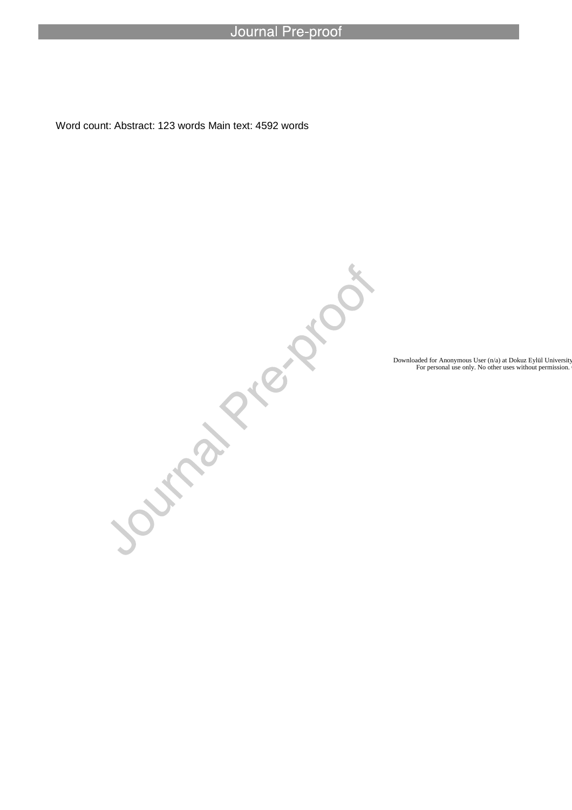Word count: Abstract: 123 words Main text: 4592 words

l

Downloaded for Anonymous User (n/a) at Dokuz Eylül University<br>For personal use only. No other uses without permission.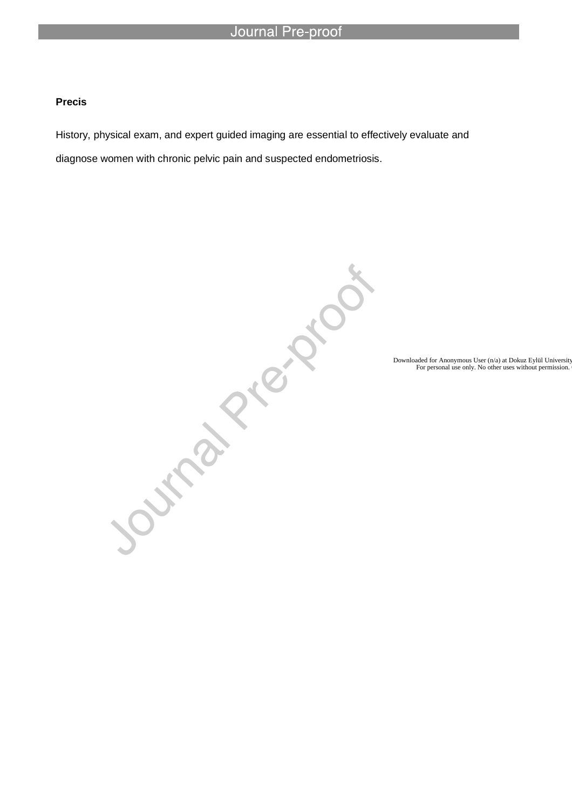# **Precis**

History, physical exam, and expert guided imaging are essential to effectively evaluate and diagnose women with chronic pelvic pain and suspected endometriosis.

l

Downloaded for Anonymous User (n/a) at Dokuz Eylül University<br>For personal use only. No other uses without permission.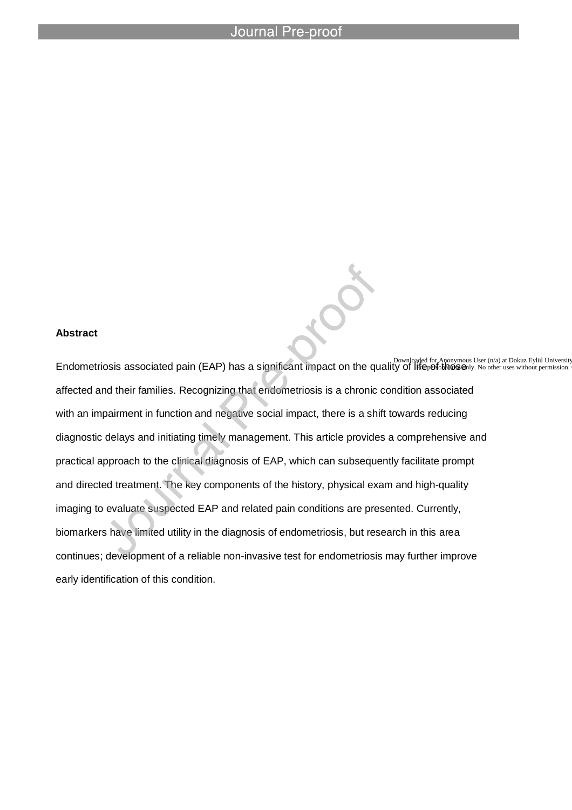l

### **Abstract**

Endometriosis associated pain (EAP) has a significant impact on the quality of lifepersing Obownlogs User (n/a) at Dokuz Eylül University affected and their families. Recognizing that endometriosis is a chronic condition associated with an impairment in function and negative social impact, there is a shift towards reducing diagnostic delays and initiating timely management. This article provides a comprehensive and practical approach to the clinical diagnosis of EAP, which can subsequently facilitate prompt and directed treatment. The key components of the history, physical exam and high-quality imaging to evaluate suspected EAP and related pain conditions are presented. Currently, biomarkers have limited utility in the diagnosis of endometriosis, but research in this area continues; development of a reliable non-invasive test for endometriosis may further improve early identification of this condition.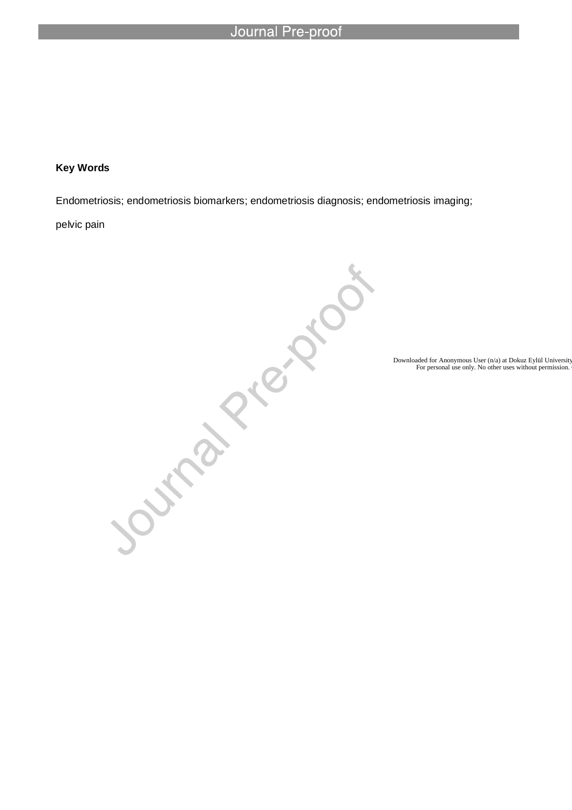l

# **Key Words**

pelvic pain

Endometriosis; endometriosis biomarkers; endometriosis diagnosis; endometriosis imaging;<br>pelvic pain<br>pelvic pain<br>pelvic pain<br>personalistic denumerates;<br>pelvic pain personalistic denumerates;<br>personalistic denumerates;<br>pers

Downloaded for Anonymous User (n/a) at Dokuz Eylül University<br>For personal use only. No other uses without permission.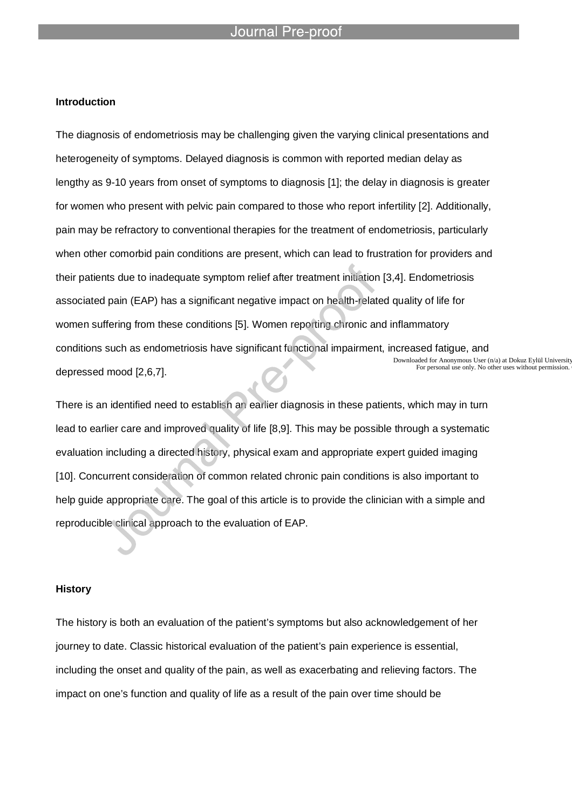l

### **Introduction**

The diagnosis of endometriosis may be challenging given the varying clinical presentations and heterogeneity of symptoms. Delayed diagnosis is common with reported median delay as lengthy as 9-10 years from onset of symptoms to diagnosis [1]; the delay in diagnosis is greater for women who present with pelvic pain compared to those who report infertility [2]. Additionally, pain may be refractory to conventional therapies for the treatment of endometriosis, particularly when other comorbid pain conditions are present, which can lead to frustration for providers and their patients due to inadequate symptom relief after treatment initiation [3,4]. Endometriosis associated pain (EAP) has a significant negative impact on health-related quality of life for women suffering from these conditions [5]. Women reporting chronic and inflammatory conditions such as endometriosis have significant functional impairment, increased fatigue, and depressed mood [2,6,7]. Downloaded for Anonymous User (n/a) at Dokuz Eylül University<br>For personal use only. No other uses without permission.

There is an identified need to establish an earlier diagnosis in these patients, which may in turn lead to earlier care and improved quality of life [8,9]. This may be possible through a systematic evaluation including a directed history, physical exam and appropriate expert guided imaging [10]. Concurrent consideration of common related chronic pain conditions is also important to help guide appropriate care. The goal of this article is to provide the clinician with a simple and reproducible clinical approach to the evaluation of EAP.

#### **History**

The history is both an evaluation of the patient's symptoms but also acknowledgement of her journey to date. Classic historical evaluation of the patient's pain experience is essential, including the onset and quality of the pain, as well as exacerbating and relieving factors. The impact on one's function and quality of life as a result of the pain over time should be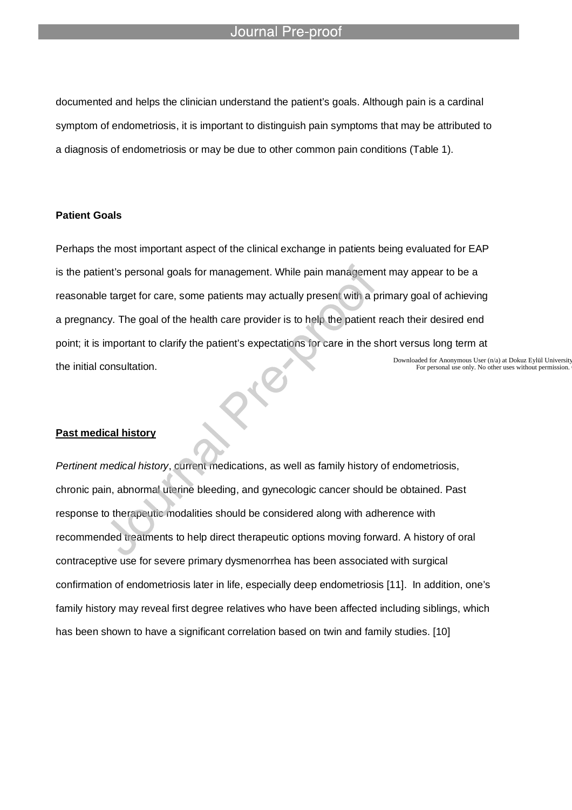#### Journal Pre-nroo

l

documented and helps the clinician understand the patient's goals. Although pain is a cardinal symptom of endometriosis, it is important to distinguish pain symptoms that may be attributed to a diagnosis of endometriosis or may be due to other common pain conditions (Table 1).

### **Patient Goals**

Perhaps the most important aspect of the clinical exchange in patients being evaluated for EAP is the patient's personal goals for management. While pain management may appear to be a reasonable target for care, some patients may actually present with a primary goal of achieving a pregnancy. The goal of the health care provider is to help the patient reach their desired end point; it is important to clarify the patient's expectations for care in the short versus long term at the initial consultation. Downloaded for Anonymous User (n/a) at Dokuz Eylül University<br>For personal use only. No other uses without permission.

#### **Past medical history**

*Pertinent medical history*, current medications, as well as family history of endometriosis, chronic pain, abnormal uterine bleeding, and gynecologic cancer should be obtained. Past response to therapeutic modalities should be considered along with adherence with recommended treatments to help direct therapeutic options moving forward. A history of oral contraceptive use for severe primary dysmenorrhea has been associated with surgical confirmation of endometriosis later in life, especially deep endometriosis [11]. In addition, one's family history may reveal first degree relatives who have been affected including siblings, which has been shown to have a significant correlation based on twin and family studies. [10]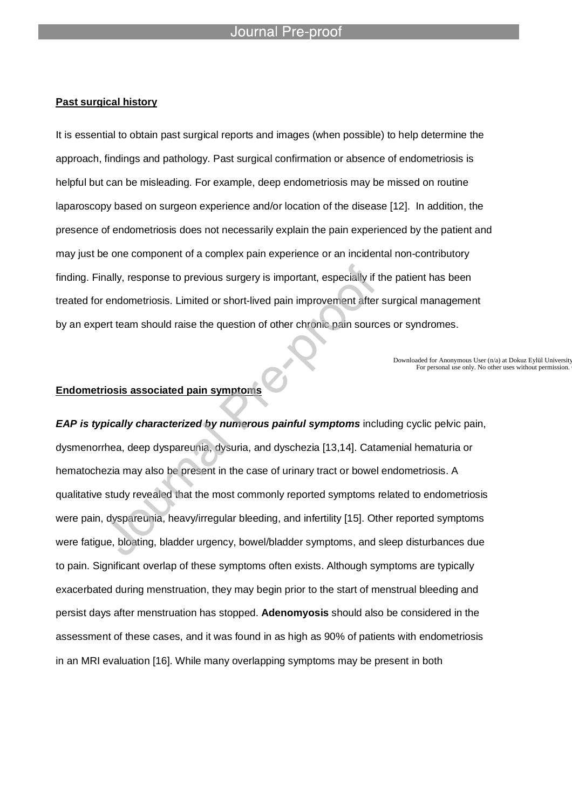l

### **Past surgical history**

It is essential to obtain past surgical reports and images (when possible) to help determine the approach, findings and pathology. Past surgical confirmation or absence of endometriosis is helpful but can be misleading. For example, deep endometriosis may be missed on routine laparoscopy based on surgeon experience and/or location of the disease [12]. In addition, the presence of endometriosis does not necessarily explain the pain experienced by the patient and may just be one component of a complex pain experience or an incidental non-contributory finding. Finally, response to previous surgery is important, especially if the patient has been treated for endometriosis. Limited or short-lived pain improvement after surgical management by an expert team should raise the question of other chronic pain sources or syndromes.

Downloaded for Anonymous User (n/a) at Dokuz Eylül University<br>For personal use only. No other uses without permission.

# **Endometriosis associated pain symptoms**

*EAP* is *typically characterized by numerous painful symptoms* including cyclic pelvic pain, dysmenorrhea, deep dyspareunia, dysuria, and dyschezia [13,14]. Catamenial hematuria or hematochezia may also be present in the case of urinary tract or bowel endometriosis. A qualitative study revealed that the most commonly reported symptoms related to endometriosis were pain, dyspareunia, heavy/irregular bleeding, and infertility [15]. Other reported symptoms were fatigue, bloating, bladder urgency, bowel/bladder symptoms, and sleep disturbances due to pain. Significant overlap of these symptoms often exists. Although symptoms are typically exacerbated during menstruation, they may begin prior to the start of menstrual bleeding and persist days after menstruation has stopped. **Adenomyosis** should also be considered in the assessment of these cases, and it was found in as high as 90% of patients with endometriosis in an MRI evaluation [16]. While many overlapping symptoms may be present in both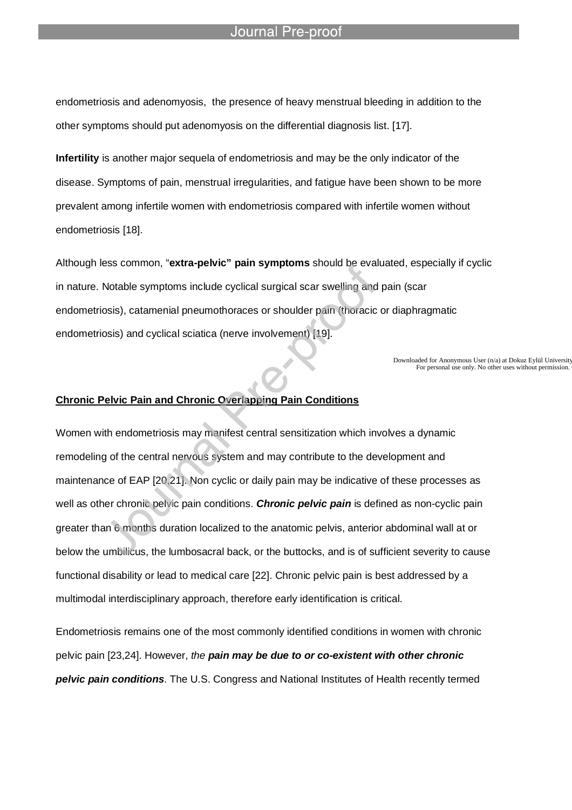endometriosis and adenomyosis, the presence of heavy menstrual bleeding in addition to the other symptoms should put adenomyosis on the differential diagnosis list. [17].

**Infertility** is another major sequela of endometriosis and may be the only indicator of the disease. Symptoms of pain, menstrual irregularities, and fatigue have been shown to be more prevalent among infertile women with endometriosis compared with infertile women without endometriosis [18].

Although less common, "**extra-pelvic" pain symptoms** should be evaluated, especially if cyclic in nature. Notable symptoms include cyclical surgical scar swelling and pain (scar endometriosis), catamenial pneumothoraces or shoulder pain (thoracic or diaphragmatic endometriosis) and cyclical sciatica (nerve involvement) [19].

Downloaded for Anonymous User (n/a) at Dokuz Eylül University<br>For personal use only. No other uses without permission.

### **Chronic Pelvic Pain and Chronic Overlapping Pain Conditions**

l

Women with endometriosis may manifest central sensitization which involves a dynamic remodeling of the central nervous system and may contribute to the development and maintenance of EAP [20,21]. Non cyclic or daily pain may be indicative of these processes as well as other chronic pelvic pain conditions. *Chronic pelvic pain* is defined as non-cyclic pain greater than 6 months duration localized to the anatomic pelvis, anterior abdominal wall at or below the umbilicus, the lumbosacral back, or the buttocks, and is of sufficient severity to cause functional disability or lead to medical care [22]. Chronic pelvic pain is best addressed by a multimodal interdisciplinary approach, therefore early identification is critical.

Endometriosis remains one of the most commonly identified conditions in women with chronic pelvic pain [23,24]. However, *the pain may be due to or co-existent with other chronic pelvic pain conditions*. The U.S. Congress and National Institutes of Health recently termed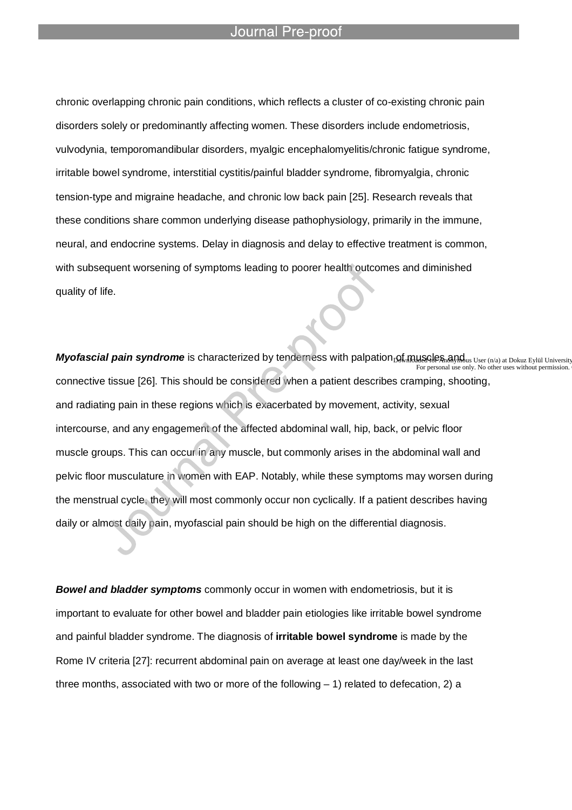l

chronic overlapping chronic pain conditions, which reflects a cluster of co-existing chronic pain disorders solely or predominantly affecting women. These disorders include endometriosis, vulvodynia, temporomandibular disorders, myalgic encephalomyelitis/chronic fatigue syndrome, irritable bowel syndrome, interstitial cystitis/painful bladder syndrome, fibromyalgia, chronic tension-type and migraine headache, and chronic low back pain [25]. Research reveals that these conditions share common underlying disease pathophysiology, primarily in the immune, neural, and endocrine systems. Delay in diagnosis and delay to effective treatment is common, with subsequent worsening of symptoms leading to poorer health outcomes and diminished quality of life.

**Myofascial pain syndrome** is characterized by tenderness with palpation<sub>D</sub>of muscles and the user (n/a) at Dokuz Eylül University<br>For personal use only. No other uses without permission. connective tissue [26]. This should be considered when a patient describes cramping, shooting, and radiating pain in these regions which is exacerbated by movement, activity, sexual intercourse, and any engagement of the affected abdominal wall, hip, back, or pelvic floor muscle groups. This can occur in any muscle, but commonly arises in the abdominal wall and pelvic floor musculature in women with EAP. Notably, while these symptoms may worsen during the menstrual cycle, they will most commonly occur non cyclically. If a patient describes having daily or almost daily pain, myofascial pain should be high on the differential diagnosis.

*Bowel and bladder symptoms* commonly occur in women with endometriosis, but it is important to evaluate for other bowel and bladder pain etiologies like irritable bowel syndrome and painful bladder syndrome. The diagnosis of **irritable bowel syndrome** is made by the Rome IV criteria [27]: recurrent abdominal pain on average at least one day/week in the last three months, associated with two or more of the following  $-1$ ) related to defecation, 2) a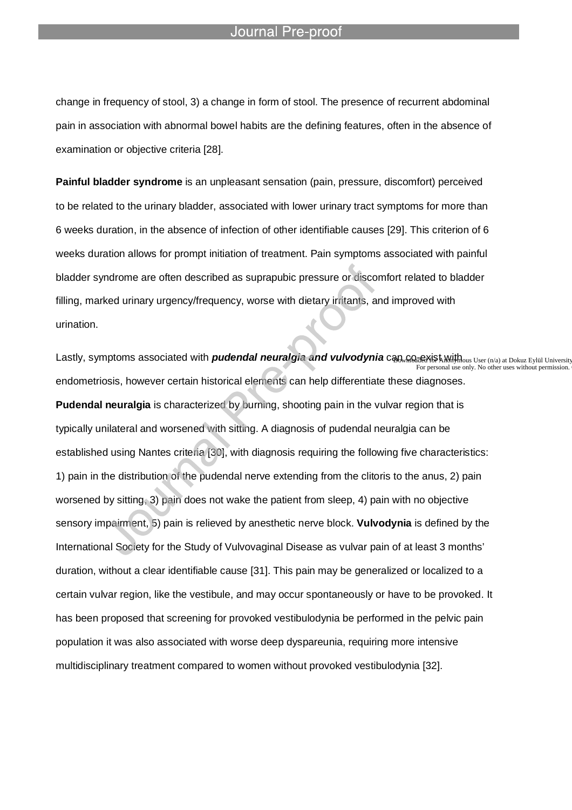l

change in frequency of stool, 3) a change in form of stool. The presence of recurrent abdominal pain in association with abnormal bowel habits are the defining features, often in the absence of examination or objective criteria [28].

**Painful bladder syndrome** is an unpleasant sensation (pain, pressure, discomfort) perceived to be related to the urinary bladder, associated with lower urinary tract symptoms for more than 6 weeks duration, in the absence of infection of other identifiable causes [29]. This criterion of 6 weeks duration allows for prompt initiation of treatment. Pain symptoms associated with painful bladder syndrome are often described as suprapubic pressure or discomfort related to bladder filling, marked urinary urgency/frequency, worse with dietary irritants, and improved with urination.

Lastly, symptoms associated with *pudendal neuralgia and vulvodynia* can and start in thour User (n/a) at Dokuz Eylül University<br>. For personal use only. No other uses without permission. endometriosis, however certain historical elements can help differentiate these diagnoses. **Pudendal neuralgia** is characterized by burning, shooting pain in the vulvar region that is typically unilateral and worsened with sitting. A diagnosis of pudendal neuralgia can be established using Nantes criteria [30], with diagnosis requiring the following five characteristics: 1) pain in the distribution of the pudendal nerve extending from the clitoris to the anus, 2) pain worsened by sitting, 3) pain does not wake the patient from sleep, 4) pain with no objective sensory impairment, 5) pain is relieved by anesthetic nerve block. **Vulvodynia** is defined by the International Society for the Study of Vulvovaginal Disease as vulvar pain of at least 3 months' duration, without a clear identifiable cause [31]. This pain may be generalized or localized to a certain vulvar region, like the vestibule, and may occur spontaneously or have to be provoked. It has been proposed that screening for provoked vestibulodynia be performed in the pelvic pain population it was also associated with worse deep dyspareunia, requiring more intensive multidisciplinary treatment compared to women without provoked vestibulodynia [32].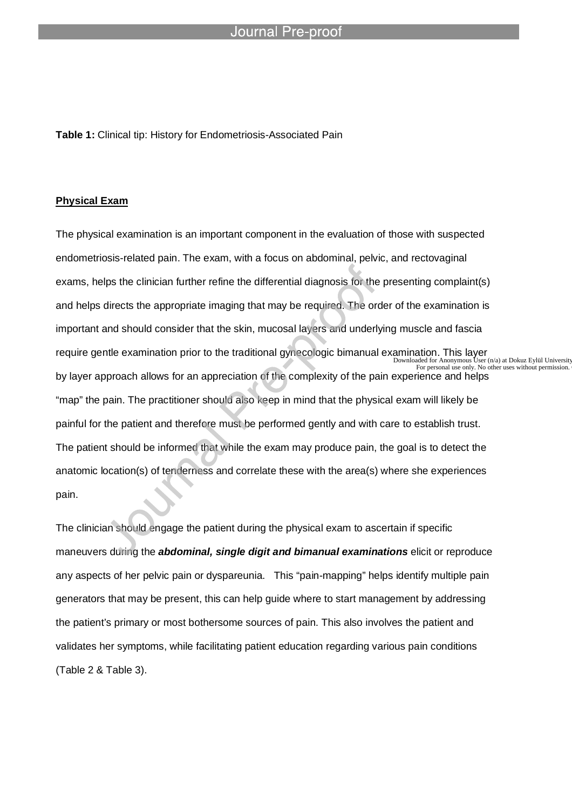**Table 1:** Clinical tip: History for Endometriosis-Associated Pain

l

#### **Physical Exam**

The physical examination is an important component in the evaluation of those with suspected endometriosis-related pain. The exam, with a focus on abdominal, pelvic, and rectovaginal exams, helps the clinician further refine the differential diagnosis for the presenting complaint(s) and helps directs the appropriate imaging that may be required. The order of the examination is important and should consider that the skin, mucosal layers and underlying muscle and fascia require gentle examination prior to the traditional gynecologic bimanual examination. This layer by layer approach allows for an appreciation of the complexity of the pain experience and helps "map" the pain. The practitioner should also keep in mind that the physical exam will likely be painful for the patient and therefore must be performed gently and with care to establish trust. The patient should be informed that while the exam may produce pain, the goal is to detect the anatomic location(s) of tenderness and correlate these with the area(s) where she experiences pain. Downloaded for Anonymous User (n/a) at Dokuz Eylül University<br>For personal use only. No other uses without permission.

The clinician should engage the patient during the physical exam to ascertain if specific maneuvers during the *abdominal, single digit and bimanual examinations* elicit or reproduce any aspects of her pelvic pain or dyspareunia. This "pain-mapping" helps identify multiple pain generators that may be present, this can help guide where to start management by addressing the patient's primary or most bothersome sources of pain. This also involves the patient and validates her symptoms, while facilitating patient education regarding various pain conditions (Table 2 & Table 3).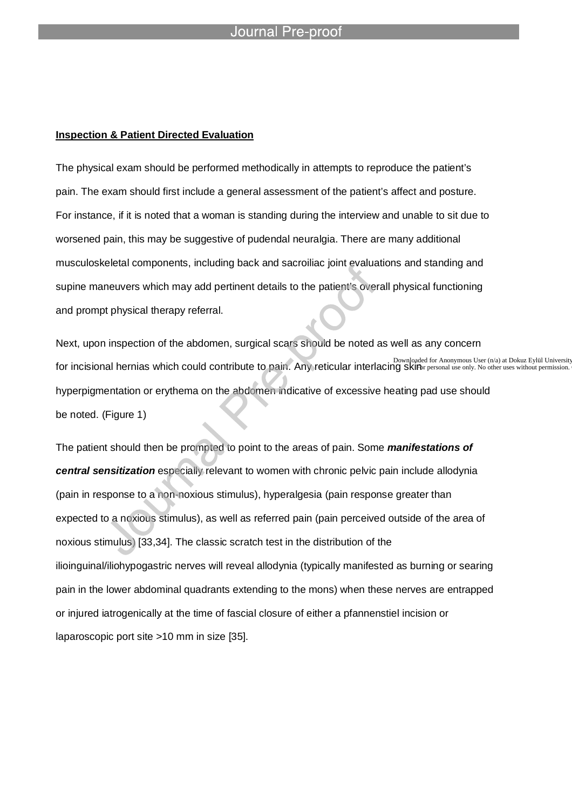#### **Inspection & Patient Directed Evaluation**

l

The physical exam should be performed methodically in attempts to reproduce the patient's pain. The exam should first include a general assessment of the patient's affect and posture. For instance, if it is noted that a woman is standing during the interview and unable to sit due to worsened pain, this may be suggestive of pudendal neuralgia. There are many additional musculoskeletal components, including back and sacroiliac joint evaluations and standing and supine maneuvers which may add pertinent details to the patient's overall physical functioning and prompt physical therapy referral.

Next, upon inspection of the abdomen, surgical scars should be noted as well as any concern for incisional hernias which could contribute to pain. Any reticular interlacing skiPpr personal use only. No other uses without permission. hyperpigmentation or erythema on the abdomen indicative of excessive heating pad use should be noted. (Figure 1)

The patient should then be prompted to point to the areas of pain. Some *manifestations of central sensitization* especially relevant to women with chronic pelvic pain include allodynia (pain in response to a non-noxious stimulus), hyperalgesia (pain response greater than expected to a noxious stimulus), as well as referred pain (pain perceived outside of the area of noxious stimulus) [33,34]. The classic scratch test in the distribution of the ilioinguinal/iliohypogastric nerves will reveal allodynia (typically manifested as burning or searing pain in the lower abdominal quadrants extending to the mons) when these nerves are entrapped or injured iatrogenically at the time of fascial closure of either a pfannenstiel incision or laparoscopic port site >10 mm in size [35].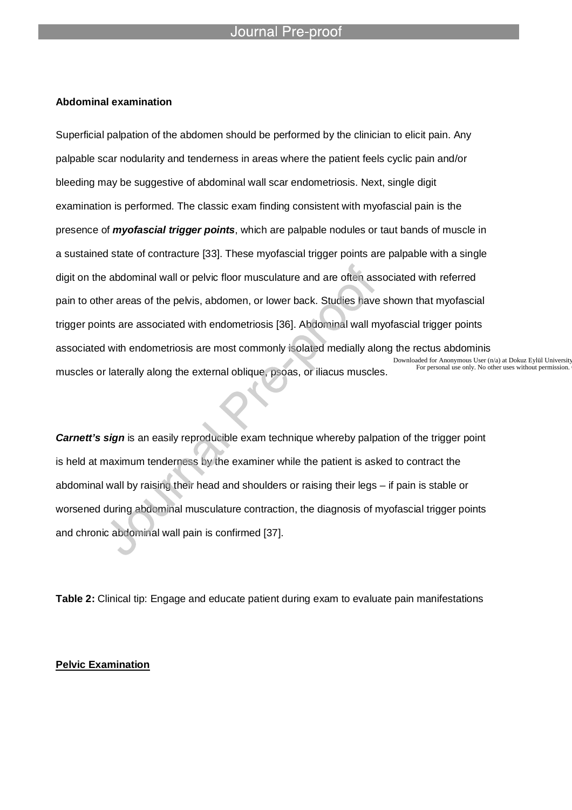l

### **Abdominal examination**

Superficial palpation of the abdomen should be performed by the clinician to elicit pain. Any palpable scar nodularity and tenderness in areas where the patient feels cyclic pain and/or bleeding may be suggestive of abdominal wall scar endometriosis. Next, single digit examination is performed. The classic exam finding consistent with myofascial pain is the presence of *myofascial trigger points*, which are palpable nodules or taut bands of muscle in a sustained state of contracture [33]. These myofascial trigger points are palpable with a single digit on the abdominal wall or pelvic floor musculature and are often associated with referred pain to other areas of the pelvis, abdomen, or lower back. Studies have shown that myofascial trigger points are associated with endometriosis [36]. Abdominal wall myofascial trigger points associated with endometriosis are most commonly isolated medially along the rectus abdominis muscles or laterally along the external oblique, psoas, or iliacus muscles. Downloaded for Anonymous User (n/a) at Dokuz Eylül University<br>For personal use only. No other uses without permission.

**Carnett's sign** is an easily reproducible exam technique whereby palpation of the trigger point is held at maximum tenderness by the examiner while the patient is asked to contract the abdominal wall by raising their head and shoulders or raising their legs – if pain is stable or worsened during abdominal musculature contraction, the diagnosis of myofascial trigger points and chronic abdominal wall pain is confirmed [37].

**Table 2:** Clinical tip: Engage and educate patient during exam to evaluate pain manifestations

### **Pelvic Examination**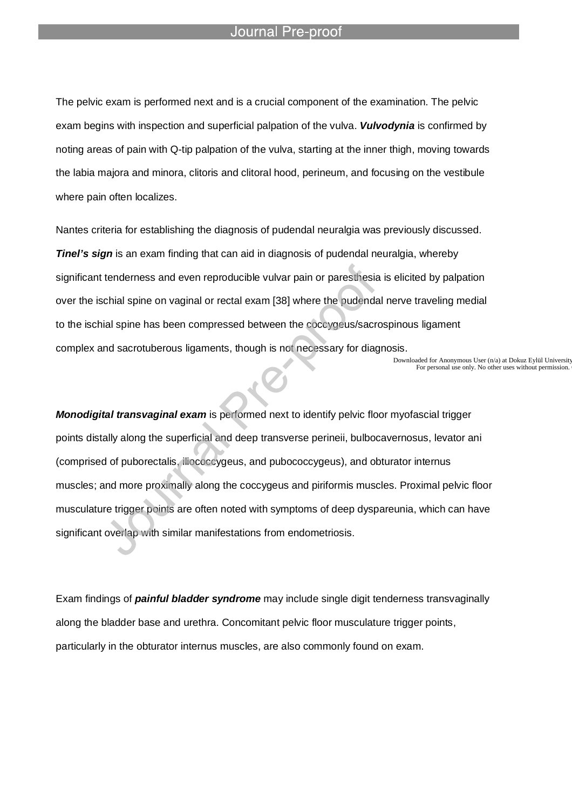l

The pelvic exam is performed next and is a crucial component of the examination. The pelvic exam begins with inspection and superficial palpation of the vulva. *Vulvodynia* is confirmed by noting areas of pain with Q-tip palpation of the vulva, starting at the inner thigh, moving towards the labia majora and minora, clitoris and clitoral hood, perineum, and focusing on the vestibule where pain often localizes.

Nantes criteria for establishing the diagnosis of pudendal neuralgia was previously discussed. *Tinel's sign* is an exam finding that can aid in diagnosis of pudendal neuralgia, whereby significant tenderness and even reproducible vulvar pain or paresthesia is elicited by palpation over the ischial spine on vaginal or rectal exam [38] where the pudendal nerve traveling medial to the ischial spine has been compressed between the coccygeus/sacrospinous ligament complex and sacrotuberous ligaments, though is not necessary for diagnosis.

Downloaded for Anonymous User (n/a) at Dokuz Eylül University<br>For personal use only. No other uses without permission.

*Monodigital transvaginal exam* is performed next to identify pelvic floor myofascial trigger points distally along the superficial and deep transverse perineii, bulbocavernosus, levator ani (comprised of puborectalis, iliococcygeus, and pubococcygeus), and obturator internus muscles; and more proximally along the coccygeus and piriformis muscles. Proximal pelvic floor musculature trigger points are often noted with symptoms of deep dyspareunia, which can have significant overlap with similar manifestations from endometriosis.

Exam findings of *painful bladder syndrome* may include single digit tenderness transvaginally along the bladder base and urethra. Concomitant pelvic floor musculature trigger points, particularly in the obturator internus muscles, are also commonly found on exam.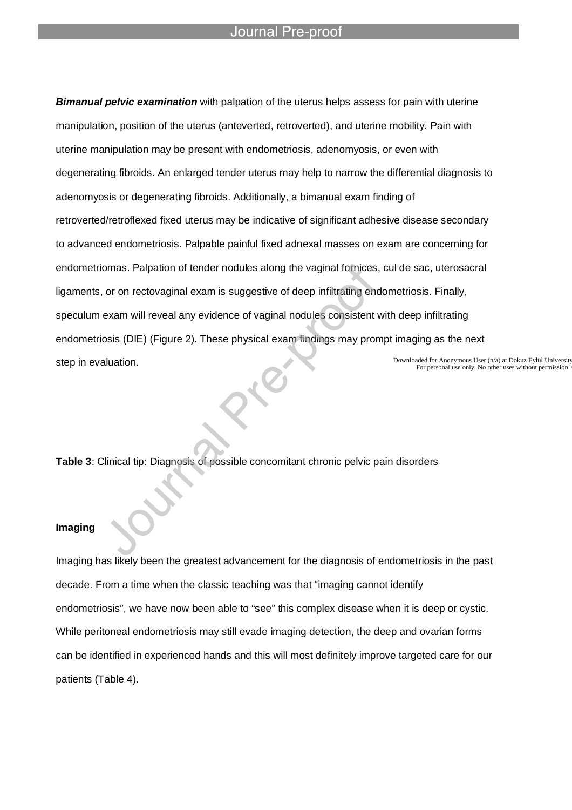l

*Bimanual pelvic examination* with palpation of the uterus helps assess for pain with uterine manipulation, position of the uterus (anteverted, retroverted), and uterine mobility. Pain with uterine manipulation may be present with endometriosis, adenomyosis, or even with degenerating fibroids. An enlarged tender uterus may help to narrow the differential diagnosis to adenomyosis or degenerating fibroids. Additionally, a bimanual exam finding of retroverted/retroflexed fixed uterus may be indicative of significant adhesive disease secondary to advanced endometriosis. Palpable painful fixed adnexal masses on exam are concerning for endometriomas. Palpation of tender nodules along the vaginal fornices, cul de sac, uterosacral ligaments, or on rectovaginal exam is suggestive of deep infiltrating endometriosis. Finally, speculum exam will reveal any evidence of vaginal nodules consistent with deep infiltrating endometriosis (DIE) (Figure 2). These physical exam findings may prompt imaging as the next step in evaluation. Downloaded for Anonymous User (n/a) at Dokuz Eylül University<br>For personal use only. No other uses without permission.

**Table 3**: Clinical tip: Diagnosis of possible concomitant chronic pelvic pain disorders

### **Imaging**

Imaging has likely been the greatest advancement for the diagnosis of endometriosis in the past decade. From a time when the classic teaching was that "imaging cannot identify endometriosis", we have now been able to "see" this complex disease when it is deep or cystic. While peritoneal endometriosis may still evade imaging detection, the deep and ovarian forms can be identified in experienced hands and this will most definitely improve targeted care for our patients (Table 4).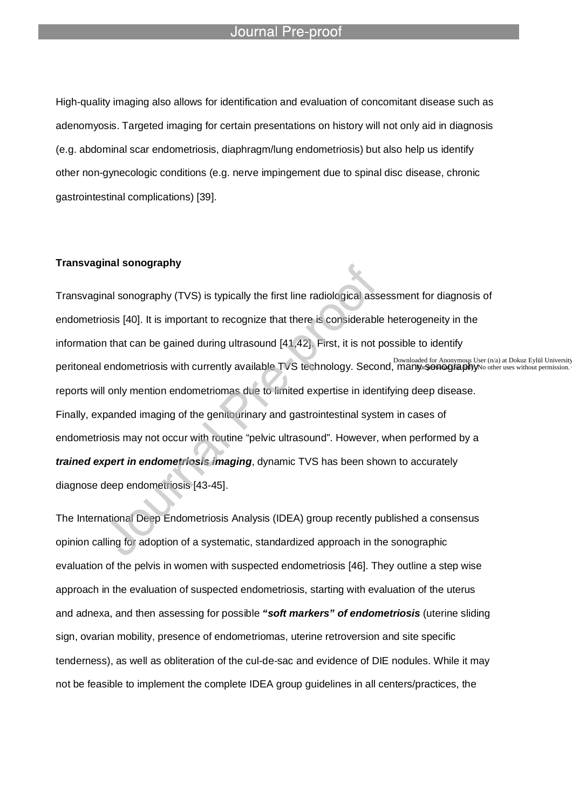l

High-quality imaging also allows for identification and evaluation of concomitant disease such as adenomyosis. Targeted imaging for certain presentations on history will not only aid in diagnosis (e.g. abdominal scar endometriosis, diaphragm/lung endometriosis) but also help us identify other non-gynecologic conditions (e.g. nerve impingement due to spinal disc disease, chronic gastrointestinal complications) [39].

### **Transvaginal sonography**

Transvaginal sonography (TVS) is typically the first line radiological assessment for diagnosis of endometriosis [40]. It is important to recognize that there is considerable heterogeneity in the information that can be gained during ultrasound [41,42]. First, it is not possible to identify peritoneal endometriosis with currently available TVS technology. Second, manyosonography No other uses without permission. reports will only mention endometriomas due to limited expertise in identifying deep disease. Finally, expanded imaging of the genitourinary and gastrointestinal system in cases of endometriosis may not occur with routine "pelvic ultrasound". However, when performed by a *trained expert in endometriosis imaging*, dynamic TVS has been shown to accurately diagnose deep endometriosis [43-45].

The International Deep Endometriosis Analysis (IDEA) group recently published a consensus opinion calling for adoption of a systematic, standardized approach in the sonographic evaluation of the pelvis in women with suspected endometriosis [46]. They outline a step wise approach in the evaluation of suspected endometriosis, starting with evaluation of the uterus and adnexa, and then assessing for possible *"soft markers" of endometriosis* (uterine sliding sign, ovarian mobility, presence of endometriomas, uterine retroversion and site specific tenderness), as well as obliteration of the cul-de-sac and evidence of DIE nodules. While it may not be feasible to implement the complete IDEA group guidelines in all centers/practices, the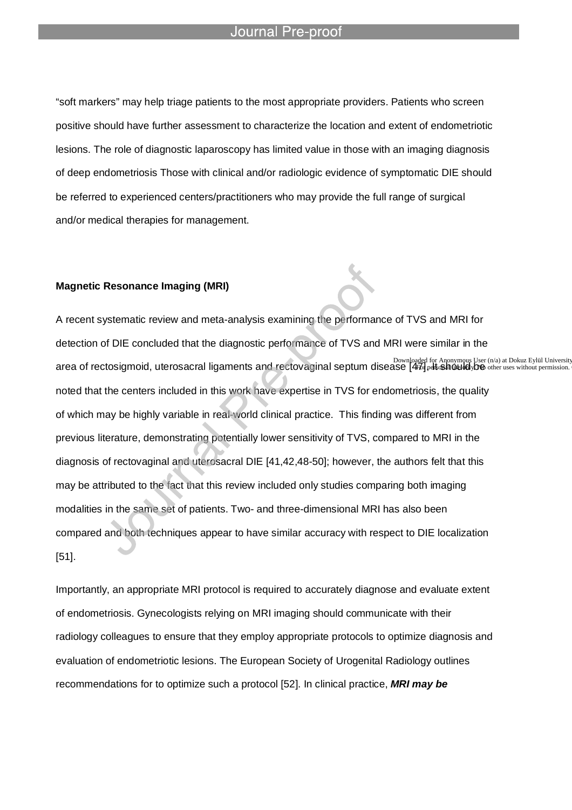l

"soft markers" may help triage patients to the most appropriate providers. Patients who screen positive should have further assessment to characterize the location and extent of endometriotic lesions. The role of diagnostic laparoscopy has limited value in those with an imaging diagnosis of deep endometriosis Those with clinical and/or radiologic evidence of symptomatic DIE should be referred to experienced centers/practitioners who may provide the full range of surgical and/or medical therapies for management.

#### **Magnetic Resonance Imaging (MRI)**

A recent systematic review and meta-analysis examining the performance of TVS and MRI for detection of DIE concluded that the diagnostic performance of TVS and MRI were similar in the Downloaded for Anonymous User (n/a) at Dokuz Eylül University<br>.area of rectosigmoid, uterosacral ligaments and rectovaginal septum disease [476] pat Gnorymous User (n/a) at Dokuz Eylül University noted that the centers included in this work have expertise in TVS for endometriosis, the quality of which may be highly variable in real-world clinical practice. This finding was different from previous literature, demonstrating potentially lower sensitivity of TVS, compared to MRI in the diagnosis of rectovaginal and uterosacral DIE [41,42,48-50]; however, the authors felt that this may be attributed to the fact that this review included only studies comparing both imaging modalities in the same set of patients. Two- and three-dimensional MRI has also been compared and both techniques appear to have similar accuracy with respect to DIE localization [51].

Importantly, an appropriate MRI protocol is required to accurately diagnose and evaluate extent of endometriosis. Gynecologists relying on MRI imaging should communicate with their radiology colleagues to ensure that they employ appropriate protocols to optimize diagnosis and evaluation of endometriotic lesions. The European Society of Urogenital Radiology outlines recommendations for to optimize such a protocol [52]. In clinical practice, *MRI may be*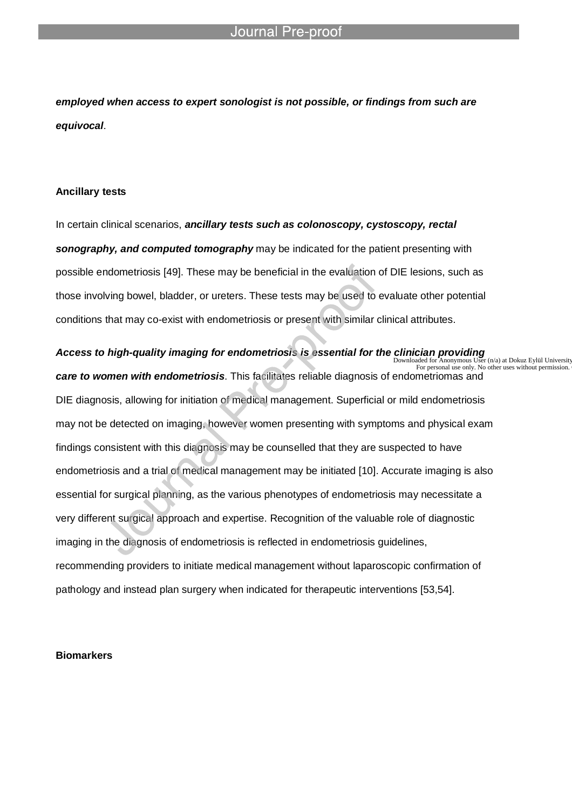*employed when access to expert sonologist is not possible, or findings from such are equivocal*.

l

### **Ancillary tests**

In certain clinical scenarios, *ancillary tests such as colonoscopy, cystoscopy, rectal sonography, and computed tomography* may be indicated for the patient presenting with possible endometriosis [49]. These may be beneficial in the evaluation of DIE lesions, such as those involving bowel, bladder, or ureters. These tests may be used to evaluate other potential conditions that may co-exist with endometriosis or present with similar clinical attributes.

**Access to high-quality imaging for endometriosis is essential for the clinician providing<br>Downloaded for Anonymous User (n/a) at Dokuz Eylül University<br>For personal use only. No other uses without permission.** *care to women with endometriosis*. This facilitates reliable diagnosis of endometriomas and DIE diagnosis, allowing for initiation of medical management. Superficial or mild endometriosis may not be detected on imaging, however women presenting with symptoms and physical exam findings consistent with this diagnosis may be counselled that they are suspected to have endometriosis and a trial of medical management may be initiated [10]. Accurate imaging is also essential for surgical planning, as the various phenotypes of endometriosis may necessitate a very different surgical approach and expertise. Recognition of the valuable role of diagnostic imaging in the diagnosis of endometriosis is reflected in endometriosis guidelines, recommending providers to initiate medical management without laparoscopic confirmation of pathology and instead plan surgery when indicated for therapeutic interventions [53,54].

#### **Biomarkers**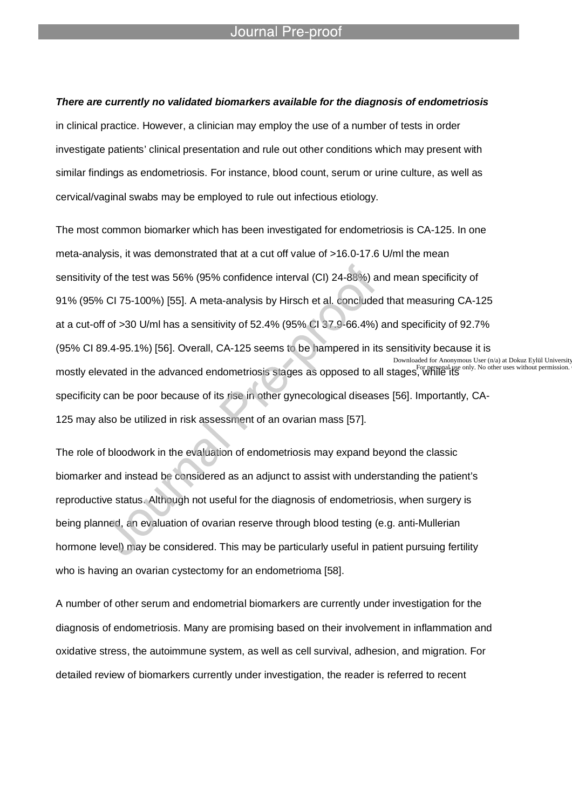#### *There are currently no validated biomarkers available for the diagnosis of endometriosis*

l

in clinical practice. However, a clinician may employ the use of a number of tests in order investigate patients' clinical presentation and rule out other conditions which may present with similar findings as endometriosis. For instance, blood count, serum or urine culture, as well as cervical/vaginal swabs may be employed to rule out infectious etiology.

The most common biomarker which has been investigated for endometriosis is CA-125. In one meta-analysis, it was demonstrated that at a cut off value of >16.0-17.6 U/ml the mean sensitivity of the test was 56% (95% confidence interval (CI) 24-88%) and mean specificity of 91% (95% CI 75-100%) [55]. A meta-analysis by Hirsch et al. concluded that measuring CA-125 at a cut-off of >30 U/ml has a sensitivity of 52.4% (95% CI 37.9-66.4%) and specificity of 92.7% (95% CI 89.4-95.1%) [56]. Overall, CA-125 seems to be hampered in its sensitivity because it is mostly elevated in the advanced endometriosis stages as opposed to all stages, while its specificity can be poor because of its rise in other gynecological diseases [56]. Importantly, CA-125 may also be utilized in risk assessment of an ovarian mass [57]. Downloaded for Anonymous User (n/a) at Dokuz Eylül University<br> $\frac{1}{2}$  and  $\frac{1}{2}$  For perspnaling only. No other uses without permission.

The role of bloodwork in the evaluation of endometriosis may expand beyond the classic biomarker and instead be considered as an adjunct to assist with understanding the patient's reproductive status. Although not useful for the diagnosis of endometriosis, when surgery is being planned, an evaluation of ovarian reserve through blood testing (e.g. anti-Mullerian hormone level) may be considered. This may be particularly useful in patient pursuing fertility who is having an ovarian cystectomy for an endometrioma [58].

A number of other serum and endometrial biomarkers are currently under investigation for the diagnosis of endometriosis. Many are promising based on their involvement in inflammation and oxidative stress, the autoimmune system, as well as cell survival, adhesion, and migration. For detailed review of biomarkers currently under investigation, the reader is referred to recent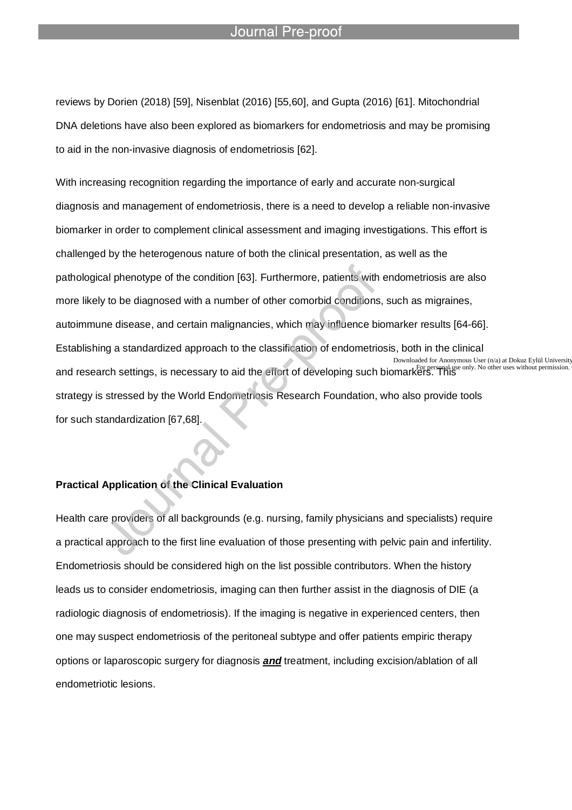l

reviews by Dorien (2018) [59], Nisenblat (2016) [55,60], and Gupta (2016) [61]. Mitochondrial DNA deletions have also been explored as biomarkers for endometriosis and may be promising to aid in the non-invasive diagnosis of endometriosis [62].

With increasing recognition regarding the importance of early and accurate non-surgical diagnosis and management of endometriosis, there is a need to develop a reliable non-invasive biomarker in order to complement clinical assessment and imaging investigations. This effort is challenged by the heterogenous nature of both the clinical presentation, as well as the pathological phenotype of the condition [63]. Furthermore, patients with endometriosis are also more likely to be diagnosed with a number of other comorbid conditions, such as migraines, autoimmune disease, and certain malignancies, which may influence biomarker results [64-66]. Establishing a standardized approach to the classification of endometriosis, both in the clinical and research settings, is necessary to aid the effort of developing such biomarkers. This strategy is stressed by the World Endometriosis Research Foundation, who also provide tools for such standardization [67,68]. Downloaded for Anonymous User (n/a) at Dokuz Eylül University<br>  $\frac{1}{2}$  For personal use only. No other uses without permission.

### **Practical Application of the Clinical Evaluation**

Health care providers of all backgrounds (e.g. nursing, family physicians and specialists) require a practical approach to the first line evaluation of those presenting with pelvic pain and infertility. Endometriosis should be considered high on the list possible contributors. When the history leads us to consider endometriosis, imaging can then further assist in the diagnosis of DIE (a radiologic diagnosis of endometriosis). If the imaging is negative in experienced centers, then one may suspect endometriosis of the peritoneal subtype and offer patients empiric therapy options or laparoscopic surgery for diagnosis *and* treatment, including excision/ablation of all endometriotic lesions.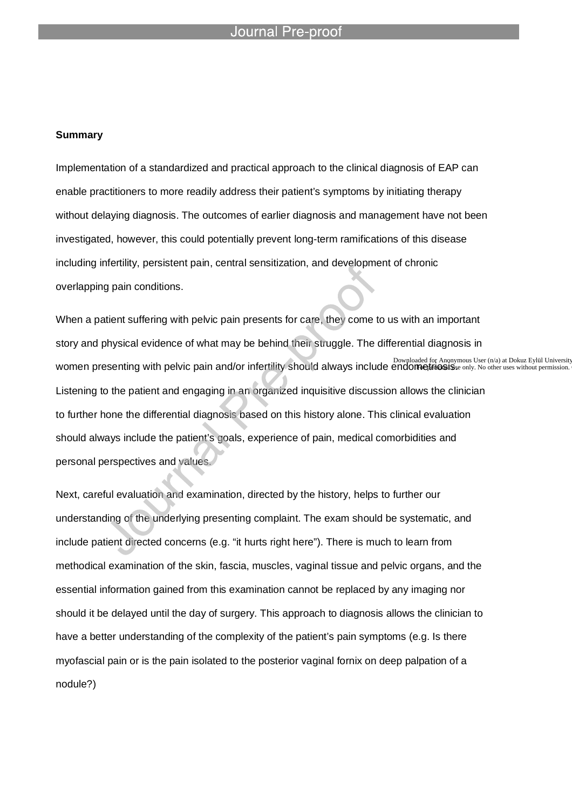l

#### **Summary**

Implementation of a standardized and practical approach to the clinical diagnosis of EAP can enable practitioners to more readily address their patient's symptoms by initiating therapy without delaying diagnosis. The outcomes of earlier diagnosis and management have not been investigated, however, this could potentially prevent long-term ramifications of this disease including infertility, persistent pain, central sensitization, and development of chronic overlapping pain conditions.

When a patient suffering with pelvic pain presents for care, they come to us with an important story and physical evidence of what may be behind their struggle. The differential diagnosis in Women presenting with pelvic pain and/or infertility should always include endometric and also the use (n/a) at Dokuz Eylül University Listening to the patient and engaging in an organized inquisitive discussion allows the clinician to further hone the differential diagnosis based on this history alone. This clinical evaluation should always include the patient's goals, experience of pain, medical comorbidities and personal perspectives and values.

Next, careful evaluation and examination, directed by the history, helps to further our understanding of the underlying presenting complaint. The exam should be systematic, and include patient directed concerns (e.g. "it hurts right here"). There is much to learn from methodical examination of the skin, fascia, muscles, vaginal tissue and pelvic organs, and the essential information gained from this examination cannot be replaced by any imaging nor should it be delayed until the day of surgery. This approach to diagnosis allows the clinician to have a better understanding of the complexity of the patient's pain symptoms (e.g. Is there myofascial pain or is the pain isolated to the posterior vaginal fornix on deep palpation of a nodule?)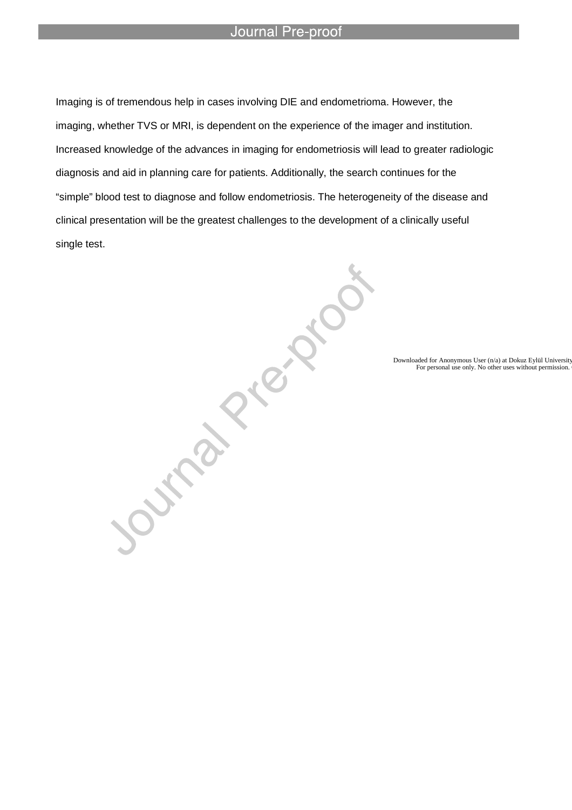l

Imaging is of tremendous help in cases involving DIE and endometrioma. However, the imaging, whether TVS or MRI, is dependent on the experience of the imager and institution. Increased knowledge of the advances in imaging for endometriosis will lead to greater radiologic diagnosis and aid in planning care for patients. Additionally, the search continues for the "simple" blood test to diagnose and follow endometriosis. The heterogeneity of the disease and single test.

clinical presentation will be the greatest challenges to the development of a clinically useful<br>single test.

Downloaded for Anonymous User (n/a) at Dokuz Eylül University<br>For personal use only. No other uses without permission.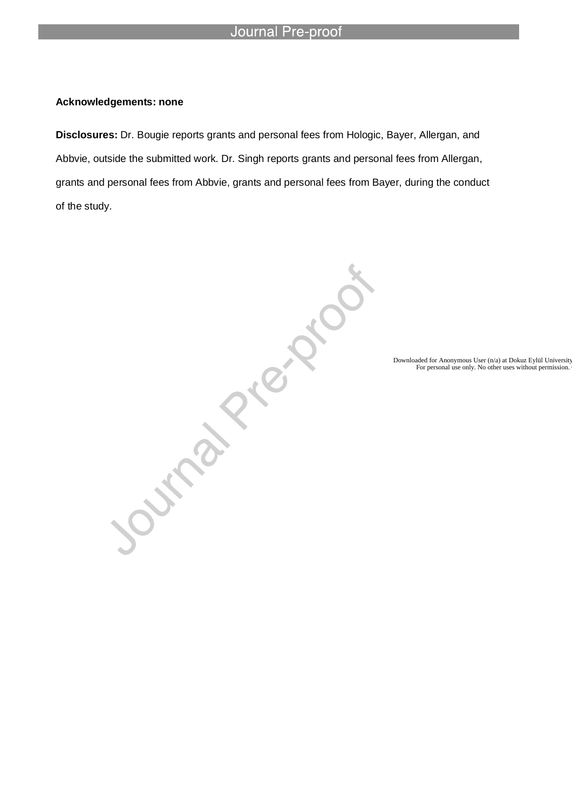l

### **Acknowledgements: none**

**Disclosures:** Dr. Bougie reports grants and personal fees from Hologic, Bayer, Allergan, and Abbvie, outside the submitted work. Dr. Singh reports grants and personal fees from Allergan, grants and personal fees from Abbvie, grants and personal fees from Bayer, during the conduct

**SOLUTION PYROUTES** 

Downloaded for Anonymous User (n/a) at Dokuz Eylül University<br>For personal use only. No other uses without permission.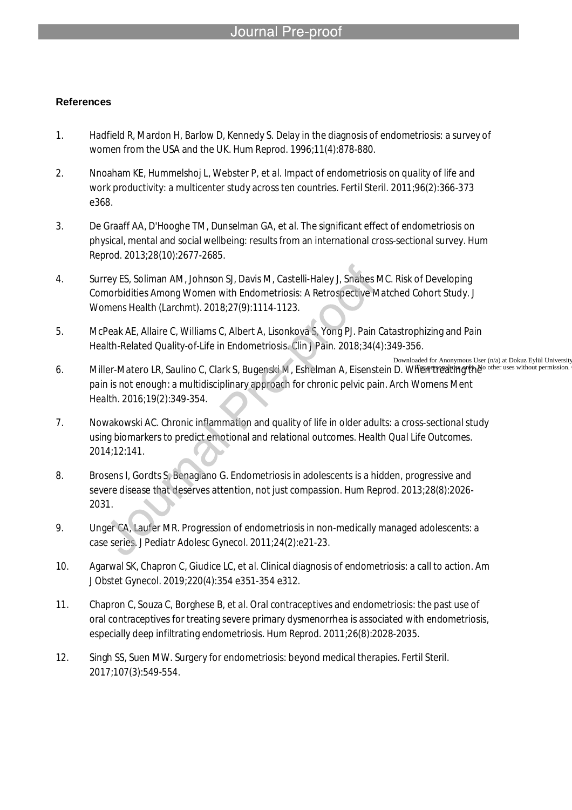l

# **References**

- 1. Hadfield R, Mardon H, Barlow D, Kennedy S. Delay in the diagnosis of endometriosis: a survey of women from the USA and the UK. *Hum Reprod.* 1996;11(4):878-880.
- 2. Nnoaham KE, Hummelshoj L, Webster P, et al. Impact of endometriosis on quality of life and work productivity: a multicenter study across ten countries. *Fertil Steril.* 2011;96(2):366-373 e368.
- 3. De Graaff AA, D'Hooghe TM, Dunselman GA, et al. The significant effect of endometriosis on physical, mental and social wellbeing: results from an international cross-sectional survey. *Hum Reprod.* 2013;28(10):2677-2685.
- 4. Surrey ES, Soliman AM, Johnson SJ, Davis M, Castelli-Haley J, Snabes MC. Risk of Developing Comorbidities Among Women with Endometriosis: A Retrospective Matched Cohort Study. *J Womens Health (Larchmt).* 2018;27(9):1114-1123.
- 5. McPeak AE, Allaire C, Williams C, Albert A, Lisonkova S, Yong PJ. Pain Catastrophizing and Pain Health-Related Quality-of-Life in Endometriosis. *Clin J Pain.* 2018;34(4):349-356.
- 6. Miller-Matero LR, Saulino C, Clark S, Bugenski M, Eshelman A, Eisenstein D. When treating the  $^{\circ}$ pain is not enough: a multidisciplinary approach for chronic pelvic pain. *Arch Womens Ment Health.* 2016;19(2):349-354. Downloaded for Anonymous User (n/a) at Dokuz Eylül University<br>  $\bigcap$   $\bigcap$   $\bigcap$   $\bigcap$   $\bigcap$   $\bigcap$   $\bigcap$   $\bigcap$   $\bigcap$   $\bigcap$   $\bigcap$   $\bigcap$   $\bigcap$   $\bigcap$   $\bigcap$   $\bigcap$   $\bigcap$   $\bigcap$   $\bigcap$   $\bigcap$   $\bigcap$   $\bigcap$   $\bigcap$   $\bigcap$   $\bigcap$   $\bigcap$   $\$
- 7. Nowakowski AC. Chronic inflammation and quality of life in older adults: a cross-sectional study using biomarkers to predict emotional and relational outcomes. *Health Qual Life Outcomes.*  2014;12:141.
- 8. Brosens I, Gordts S, Benagiano G. Endometriosis in adolescents is a hidden, progressive and severe disease that deserves attention, not just compassion. *Hum Reprod.* 2013;28(8):2026- 2031.
- 9. Unger CA, Laufer MR. Progression of endometriosis in non-medically managed adolescents: a case series. *J Pediatr Adolesc Gynecol.* 2011;24(2):e21-23.
- 10. Agarwal SK, Chapron C, Giudice LC, et al. Clinical diagnosis of endometriosis: a call to action. *Am J Obstet Gynecol.* 2019;220(4):354 e351-354 e312.
- 11. Chapron C, Souza C, Borghese B, et al. Oral contraceptives and endometriosis: the past use of oral contraceptives for treating severe primary dysmenorrhea is associated with endometriosis, especially deep infiltrating endometriosis. *Hum Reprod.* 2011;26(8):2028-2035.
- 12. Singh SS, Suen MW. Surgery for endometriosis: beyond medical therapies. *Fertil Steril.*  2017;107(3):549-554.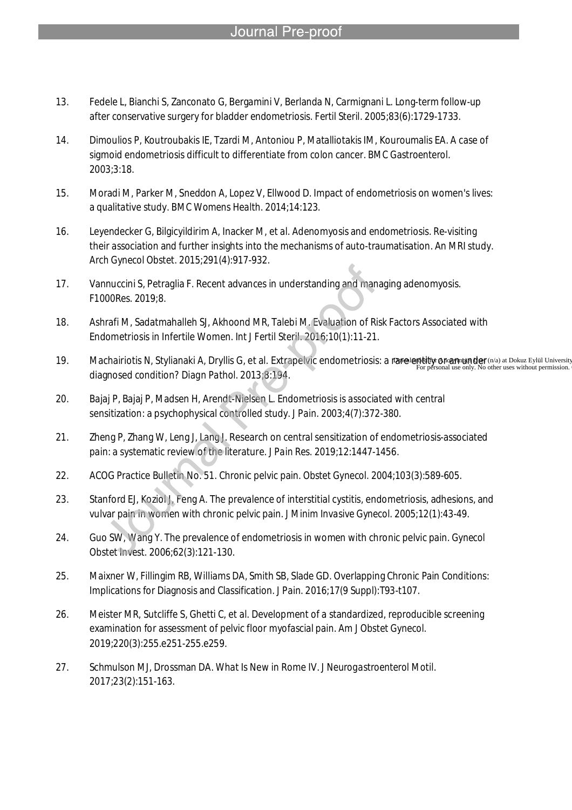13. Fedele L, Bianchi S, Zanconato G, Bergamini V, Berlanda N, Carmignani L. Long-term follow-up after conservative surgery for bladder endometriosis. *Fertil Steril.* 2005;83(6):1729-1733.

- 14. Dimoulios P, Koutroubakis IE, Tzardi M, Antoniou P, Matalliotakis IM, Kouroumalis EA. A case of sigmoid endometriosis difficult to differentiate from colon cancer. *BMC Gastroenterol.*  2003;3:18.
- 15. Moradi M, Parker M, Sneddon A, Lopez V, Ellwood D. Impact of endometriosis on women's lives: a qualitative study. *BMC Womens Health.* 2014;14:123.
- 16. Leyendecker G, Bilgicyildirim A, Inacker M, et al. Adenomyosis and endometriosis. Re-visiting their association and further insights into the mechanisms of auto-traumatisation. An MRI study. *Arch Gynecol Obstet.* 2015;291(4):917-932.
- 17. Vannuccini S, Petraglia F. Recent advances in understanding and managing adenomyosis. *F1000Res.* 2019;8.
- 18. Ashrafi M, Sadatmahalleh SJ, Akhoond MR, Talebi M. Evaluation of Risk Factors Associated with Endometriosis in Infertile Women. *Int J Fertil Steril.* 2016;10(1):11-21.
- 19. Machairiotis N, Stylianaki A, Dryllis G, et al. Extrapelvic endometriosis: a narelondity anamunder (n/a) at Dokuz Eylül University<br>For personal use only. No other uses without permission. diagnosed condition? *Diagn Pathol.* 2013;8:194.
- 20. Bajaj P, Bajaj P, Madsen H, Arendt-Nielsen L. Endometriosis is associated with central sensitization: a psychophysical controlled study. *J Pain.* 2003;4(7):372-380.
- 21. Zheng P, Zhang W, Leng J, Lang J. Research on central sensitization of endometriosis-associated pain: a systematic review of the literature. *J Pain Res.* 2019;12:1447-1456.
- 22. ACOG Practice Bulletin No. 51. Chronic pelvic pain. *Obstet Gynecol.* 2004;103(3):589-605.
- 23. Stanford EJ, Koziol J, Feng A. The prevalence of interstitial cystitis, endometriosis, adhesions, and vulvar pain in women with chronic pelvic pain. *J Minim Invasive Gynecol.* 2005;12(1):43-49.
- 24. Guo SW, Wang Y. The prevalence of endometriosis in women with chronic pelvic pain. *Gynecol Obstet Invest.* 2006;62(3):121-130.
- 25. Maixner W, Fillingim RB, Williams DA, Smith SB, Slade GD. Overlapping Chronic Pain Conditions: Implications for Diagnosis and Classification. *J Pain.* 2016;17(9 Suppl):T93-t107.
- 26. Meister MR, Sutcliffe S, Ghetti C, et al. Development of a standardized, reproducible screening examination for assessment of pelvic floor myofascial pain. *Am J Obstet Gynecol.*  2019;220(3):255.e251-255.e259.
- 27. Schmulson MJ, Drossman DA. What Is New in Rome IV. *J Neurogastroenterol Motil.*  2017;23(2):151-163.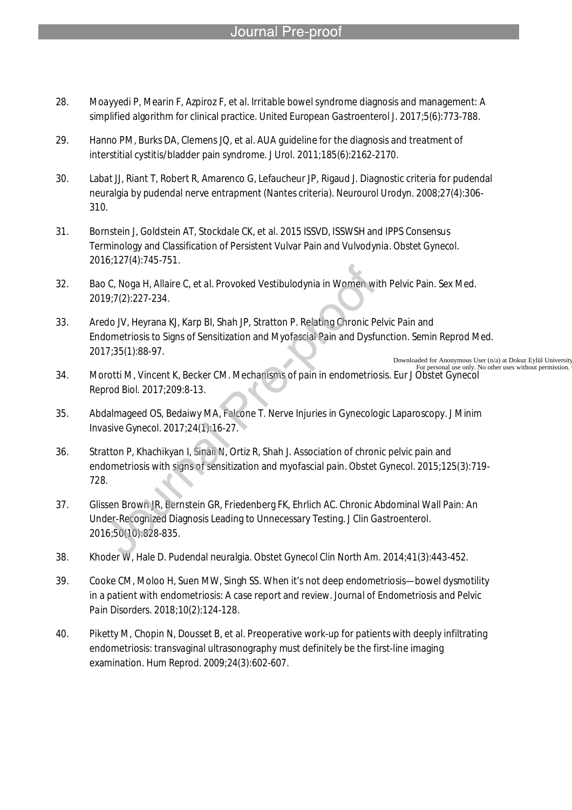- 28. Moayyedi P, Mearin F, Azpiroz F, et al. Irritable bowel syndrome diagnosis and management: A simplified algorithm for clinical practice. *United European Gastroenterol J.* 2017;5(6):773-788.
- 29. Hanno PM, Burks DA, Clemens JQ, et al. AUA guideline for the diagnosis and treatment of interstitial cystitis/bladder pain syndrome. *J Urol.* 2011;185(6):2162-2170.

- 30. Labat JJ, Riant T, Robert R, Amarenco G, Lefaucheur JP, Rigaud J. Diagnostic criteria for pudendal neuralgia by pudendal nerve entrapment (Nantes criteria). *Neurourol Urodyn.* 2008;27(4):306- 310.
- 31. Bornstein J, Goldstein AT, Stockdale CK, et al. 2015 ISSVD, ISSWSH and IPPS Consensus Terminology and Classification of Persistent Vulvar Pain and Vulvodynia. *Obstet Gynecol.*  2016;127(4):745-751.
- 32. Bao C, Noga H, Allaire C, et al. Provoked Vestibulodynia in Women with Pelvic Pain. *Sex Med.*  2019;7(2):227-234.
- 33. Aredo JV, Heyrana KJ, Karp BI, Shah JP, Stratton P. Relating Chronic Pelvic Pain and Endometriosis to Signs of Sensitization and Myofascial Pain and Dysfunction. *Semin Reprod Med.*  2017;35(1):88-97.
- 34. Morotti M, Vincent K, Becker CM. Mechanisms of pain in endometriosis. *Eur J Obstet Gynecol Reprod Biol.* 2017;209:8-13. Downloaded for Anonymous User (n/a) at Dokuz Eylül University<br>For personal use only. No other uses without permission.
- 35. Abdalmageed OS, Bedaiwy MA, Falcone T. Nerve Injuries in Gynecologic Laparoscopy. *J Minim Invasive Gynecol.* 2017;24(1):16-27.
- 36. Stratton P, Khachikyan I, Sinaii N, Ortiz R, Shah J. Association of chronic pelvic pain and endometriosis with signs of sensitization and myofascial pain. *Obstet Gynecol.* 2015;125(3):719- 728.
- 37. Glissen Brown JR, Bernstein GR, Friedenberg FK, Ehrlich AC. Chronic Abdominal Wall Pain: An Under-Recognized Diagnosis Leading to Unnecessary Testing. *J Clin Gastroenterol.*  2016;50(10):828-835.
- 38. Khoder W, Hale D. Pudendal neuralgia. *Obstet Gynecol Clin North Am.* 2014;41(3):443-452.
- 39. Cooke CM, Moloo H, Suen MW, Singh SS. When it's not deep endometriosis—bowel dysmotility in a patient with endometriosis: A case report and review. *Journal of Endometriosis and Pelvic Pain Disorders.* 2018;10(2):124-128.
- 40. Piketty M, Chopin N, Dousset B, et al. Preoperative work-up for patients with deeply infiltrating endometriosis: transvaginal ultrasonography must definitely be the first-line imaging examination. *Hum Reprod.* 2009;24(3):602-607.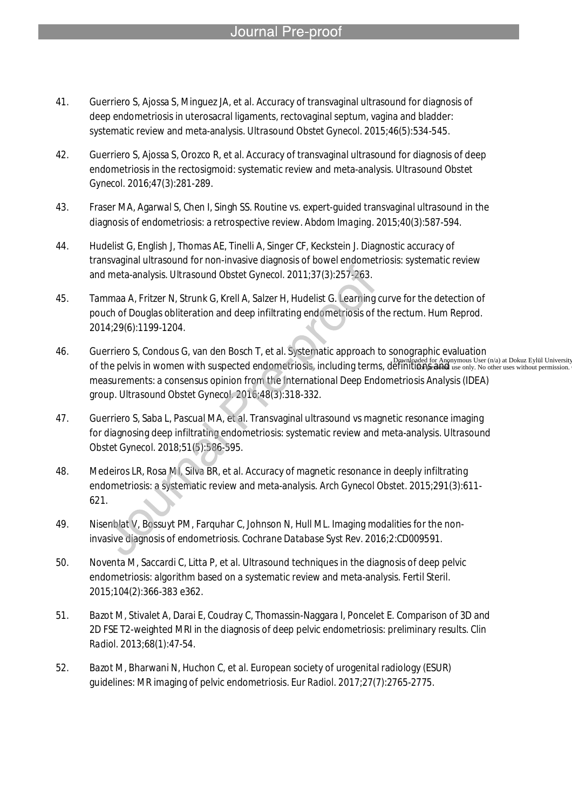41. Guerriero S, Ajossa S, Minguez JA, et al. Accuracy of transvaginal ultrasound for diagnosis of deep endometriosis in uterosacral ligaments, rectovaginal septum, vagina and bladder: systematic review and meta-analysis. *Ultrasound Obstet Gynecol.* 2015;46(5):534-545.

- 42. Guerriero S, Ajossa S, Orozco R, et al. Accuracy of transvaginal ultrasound for diagnosis of deep endometriosis in the rectosigmoid: systematic review and meta-analysis. *Ultrasound Obstet Gynecol.* 2016;47(3):281-289.
- 43. Fraser MA, Agarwal S, Chen I, Singh SS. Routine vs. expert-guided transvaginal ultrasound in the diagnosis of endometriosis: a retrospective review. *Abdom Imaging.* 2015;40(3):587-594.
- 44. Hudelist G, English J, Thomas AE, Tinelli A, Singer CF, Keckstein J. Diagnostic accuracy of transvaginal ultrasound for non-invasive diagnosis of bowel endometriosis: systematic review and meta-analysis. *Ultrasound Obstet Gynecol.* 2011;37(3):257-263.
- 45. Tammaa A, Fritzer N, Strunk G, Krell A, Salzer H, Hudelist G. Learning curve for the detection of pouch of Douglas obliteration and deep infiltrating endometriosis of the rectum. *Hum Reprod.*  2014;29(6):1199-1204.
- 46. Guerriero S, Condous G, van den Bosch T, et al. Systematic approach to sonographic evaluation Of the pelvis in women with suspected endometriosis, including terms, definition and the manymous User (n/a) at Dokuz Eylül University measurements: a consensus opinion from the International Deep Endometriosis Analysis (IDEA) group. *Ultrasound Obstet Gynecol.* 2016;48(3):318-332.
- 47. Guerriero S, Saba L, Pascual MA, et al. Transvaginal ultrasound vs magnetic resonance imaging for diagnosing deep infiltrating endometriosis: systematic review and meta-analysis. *Ultrasound Obstet Gynecol.* 2018;51(5):586-595.
- 48. Medeiros LR, Rosa MI, Silva BR, et al. Accuracy of magnetic resonance in deeply infiltrating endometriosis: a systematic review and meta-analysis. *Arch Gynecol Obstet.* 2015;291(3):611- 621.
- 49. Nisenblat V, Bossuyt PM, Farquhar C, Johnson N, Hull ML. Imaging modalities for the noninvasive diagnosis of endometriosis. *Cochrane Database Syst Rev.* 2016;2:CD009591.
- 50. Noventa M, Saccardi C, Litta P, et al. Ultrasound techniques in the diagnosis of deep pelvic endometriosis: algorithm based on a systematic review and meta-analysis. *Fertil Steril.*  2015;104(2):366-383 e362.
- 51. Bazot M, Stivalet A, Darai E, Coudray C, Thomassin-Naggara I, Poncelet E. Comparison of 3D and 2D FSE T2-weighted MRI in the diagnosis of deep pelvic endometriosis: preliminary results. *Clin Radiol.* 2013;68(1):47-54.
- 52. Bazot M, Bharwani N, Huchon C, et al. European society of urogenital radiology (ESUR) guidelines: MR imaging of pelvic endometriosis. *Eur Radiol.* 2017;27(7):2765-2775.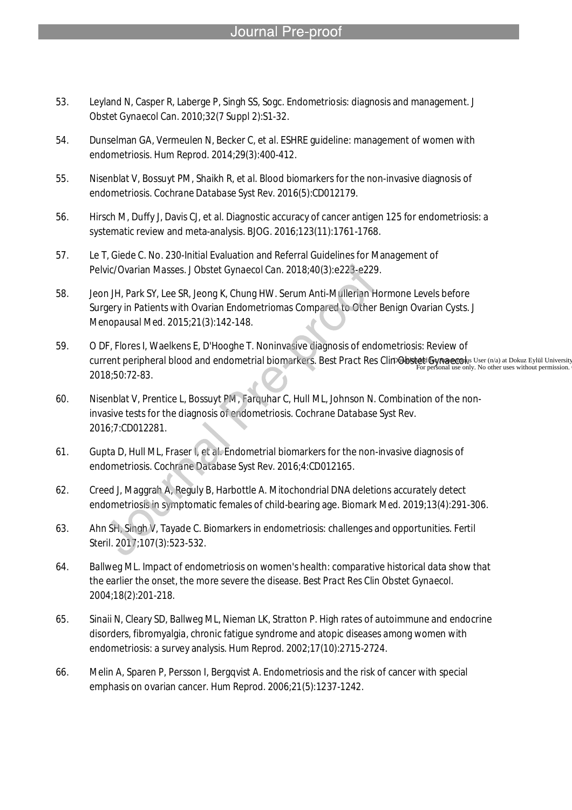53. Leyland N, Casper R, Laberge P, Singh SS, Sogc. Endometriosis: diagnosis and management. *J Obstet Gynaecol Can.* 2010;32(7 Suppl 2):S1-32.

- 54. Dunselman GA, Vermeulen N, Becker C, et al. ESHRE guideline: management of women with endometriosis. *Hum Reprod.* 2014;29(3):400-412.
- 55. Nisenblat V, Bossuyt PM, Shaikh R, et al. Blood biomarkers for the non-invasive diagnosis of endometriosis. *Cochrane Database Syst Rev.* 2016(5):CD012179.
- 56. Hirsch M, Duffy J, Davis CJ, et al. Diagnostic accuracy of cancer antigen 125 for endometriosis: a systematic review and meta-analysis. *BJOG.* 2016;123(11):1761-1768.
- 57. Le T, Giede C. No. 230-Initial Evaluation and Referral Guidelines for Management of Pelvic/Ovarian Masses. *J Obstet Gynaecol Can.* 2018;40(3):e223-e229.
- 58. Jeon JH, Park SY, Lee SR, Jeong K, Chung HW. Serum Anti-Mullerian Hormone Levels before Surgery in Patients with Ovarian Endometriomas Compared to Other Benign Ovarian Cysts. *J Menopausal Med.* 2015;21(3):142-148.
- 59. O DF, Flores I, Waelkens E, D'Hooghe T. Noninvasive diagnosis of endometriosis: Review of Current peripheral blood and endometrial biomarkers. *Best Pract Res Clim* @byt@# Gynaegoods User (n/a) at Dokuz Eylül University<br>Por personal use only. No other uses without permission. 2018;50:72-83.
- 60. Nisenblat V, Prentice L, Bossuyt PM, Farquhar C, Hull ML, Johnson N. Combination of the noninvasive tests for the diagnosis of endometriosis. *Cochrane Database Syst Rev.*  2016;7:CD012281.
- 61. Gupta D, Hull ML, Fraser I, et al. Endometrial biomarkers for the non-invasive diagnosis of endometriosis. *Cochrane Database Syst Rev.* 2016;4:CD012165.
- 62. Creed J, Maggrah A, Reguly B, Harbottle A. Mitochondrial DNA deletions accurately detect endometriosis in symptomatic females of child-bearing age. *Biomark Med.* 2019;13(4):291-306.
- 63. Ahn SH, Singh V, Tayade C. Biomarkers in endometriosis: challenges and opportunities. *Fertil Steril.* 2017;107(3):523-532.
- 64. Ballweg ML. Impact of endometriosis on women's health: comparative historical data show that the earlier the onset, the more severe the disease. *Best Pract Res Clin Obstet Gynaecol.*  2004;18(2):201-218.
- 65. Sinaii N, Cleary SD, Ballweg ML, Nieman LK, Stratton P. High rates of autoimmune and endocrine disorders, fibromyalgia, chronic fatigue syndrome and atopic diseases among women with endometriosis: a survey analysis. *Hum Reprod.* 2002;17(10):2715-2724.
- 66. Melin A, Sparen P, Persson I, Bergqvist A. Endometriosis and the risk of cancer with special emphasis on ovarian cancer. *Hum Reprod.* 2006;21(5):1237-1242.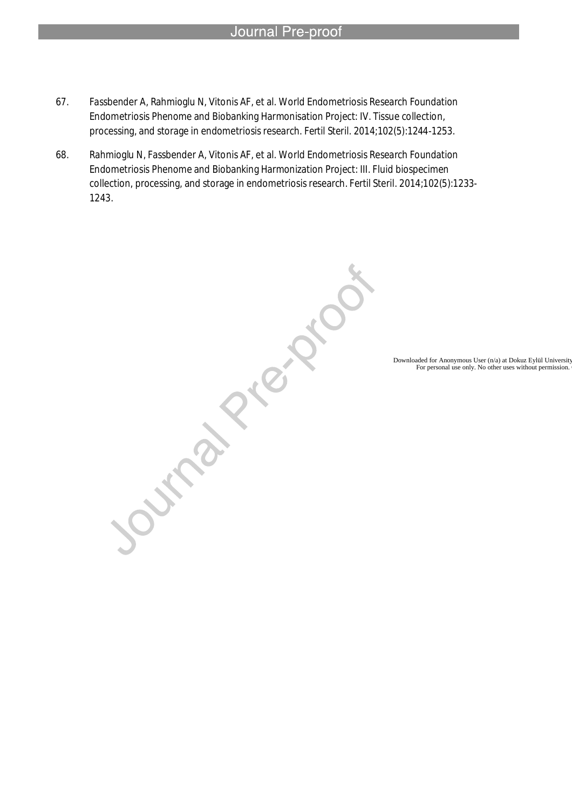67. Fassbender A, Rahmioglu N, Vitonis AF, et al. World Endometriosis Research Foundation Endometriosis Phenome and Biobanking Harmonisation Project: IV. Tissue collection, processing, and storage in endometriosis research. *Fertil Steril.* 2014;102(5):1244-1253.

l

68. Rahmioglu N, Fassbender A, Vitonis AF, et al. World Endometriosis Research Foundation Endometriosis Phenome and Biobanking Harmonization Project: III. Fluid biospecimen collection, processing, and storage in endometriosis research. *Fertil Steril.* 2014;102(5):1233- 1243.

Downloaded for Anonymous User (n/a) at Dokuz Eylül University<br>For personal use only. No other uses without permission.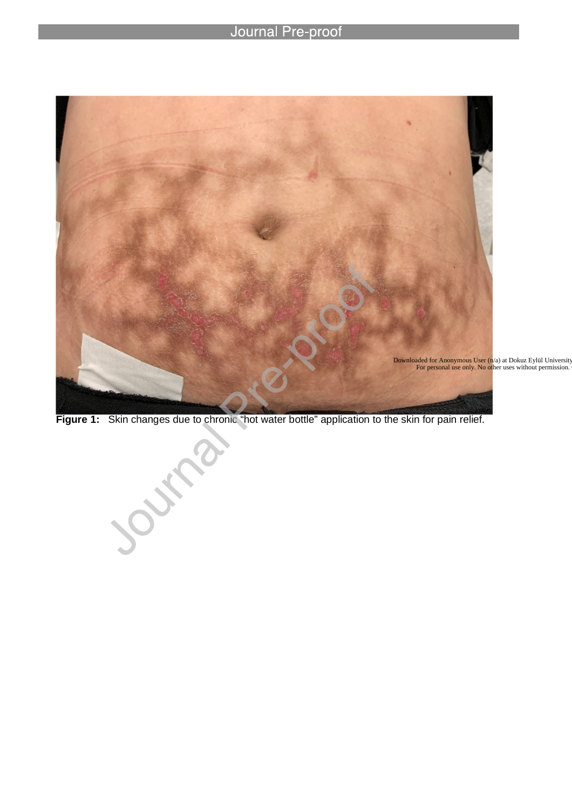l



**Figure 1:** Skin changes due to chronic "hot water bottle" application to the skin for pain relief.

Southern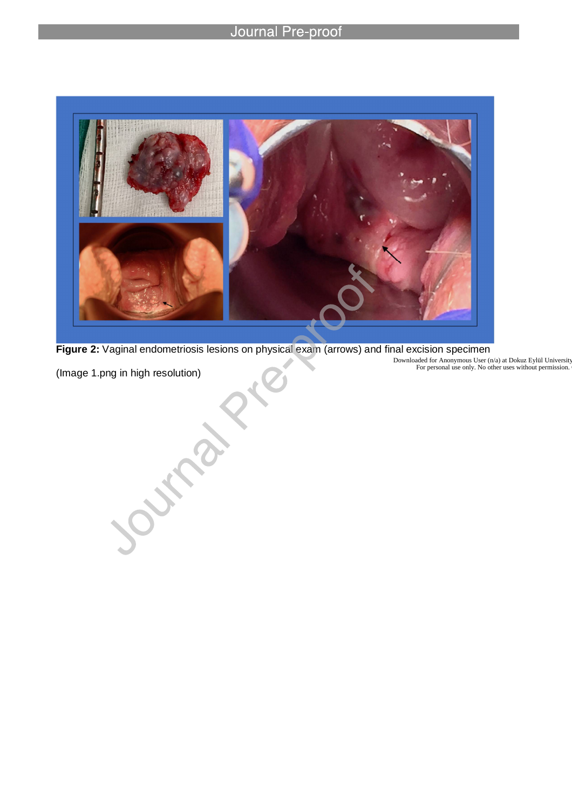l



**Figure 2:** Vaginal endometriosis lesions on physical exam (arrows) and final excision specimen

(Image 1.png in high resolution)

Outside S

Downloaded for Anonymous User (n/a) at Dokuz Eylül University<br>For personal use only. No other uses without permission.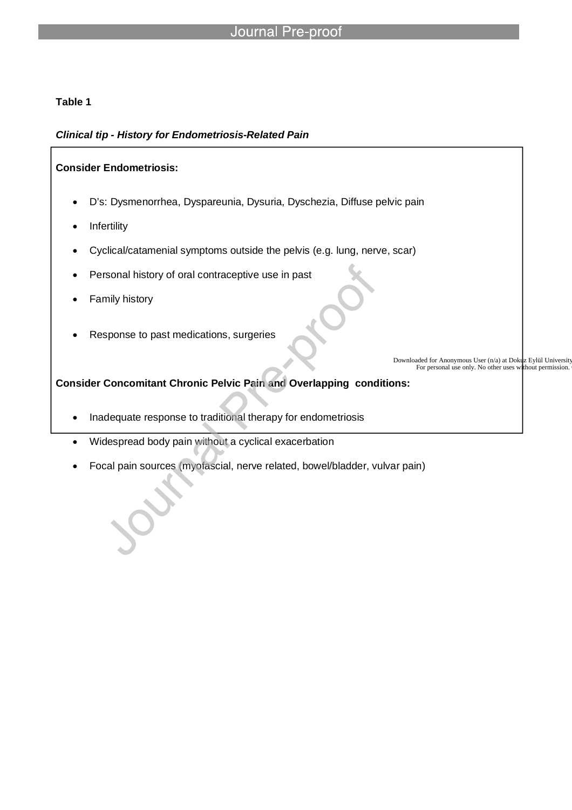# *Clinical tip - History for Endometriosis-Related Pain*

l

# **Consider Endometriosis:**

- D's: Dysmenorrhea, Dyspareunia, Dysuria, Dyschezia, Diffuse pelvic pain
- Infertility
- Cyclical/catamenial symptoms outside the pelvis (e.g. lung, nerve, scar)
- Personal history of oral contraceptive use in past
- Family history
- Response to past medications, surgeries

Downloaded for Anonymous User (n/a) at Dokuz Eylül University<br>For personal use only. No other uses without permission.

# **Consider Concomitant Chronic Pelvic Pain and Overlapping conditions:**

- Inadequate response to traditional therapy for endometriosis
- Widespread body pain without a cyclical exacerbation
- Focal pain sources (myofascial, nerve related, bowel/bladder, vulvar pain)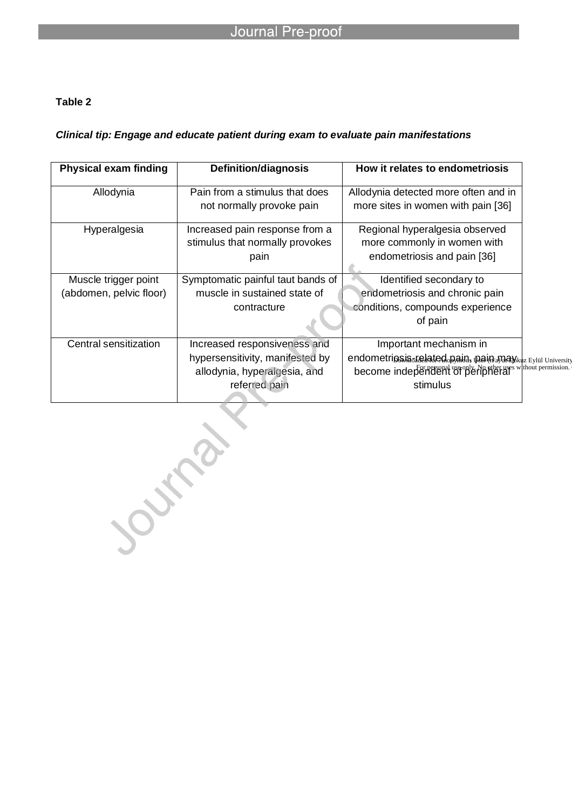# *Clinical tip: Engage and educate patient during exam to evaluate pain manifestations*

l

| <b>Physical exam finding</b> | <b>Definition/diagnosis</b>                                                      | How it relates to endometriosis                                                                                                              |  |
|------------------------------|----------------------------------------------------------------------------------|----------------------------------------------------------------------------------------------------------------------------------------------|--|
| Allodynia                    | Pain from a stimulus that does<br>not normally provoke pain                      | Allodynia detected more often and in<br>more sites in women with pain [36]                                                                   |  |
| Hyperalgesia                 | Increased pain response from a<br>stimulus that normally provokes<br>pain        | Regional hyperalgesia observed<br>more commonly in women with<br>endometriosis and pain [36]                                                 |  |
| Muscle trigger point         | Symptomatic painful taut bands of                                                | Identified secondary to                                                                                                                      |  |
| (abdomen, pelvic floor)      | muscle in sustained state of                                                     | endometriosis and chronic pain                                                                                                               |  |
|                              | contracture                                                                      | conditions, compounds experience                                                                                                             |  |
|                              |                                                                                  | of pain                                                                                                                                      |  |
| Central sensitization        | Increased responsiveness and                                                     | Important mechanism in                                                                                                                       |  |
|                              | hypersensitivity, manifested by<br>allodynia, hyperalgesia, and<br>referred pain | endometrinsis <sub>offel</sub> ated pain, pain may kuz Eylül University<br>become independent of periodicity without permission.<br>stimulus |  |
|                              |                                                                                  |                                                                                                                                              |  |

Journal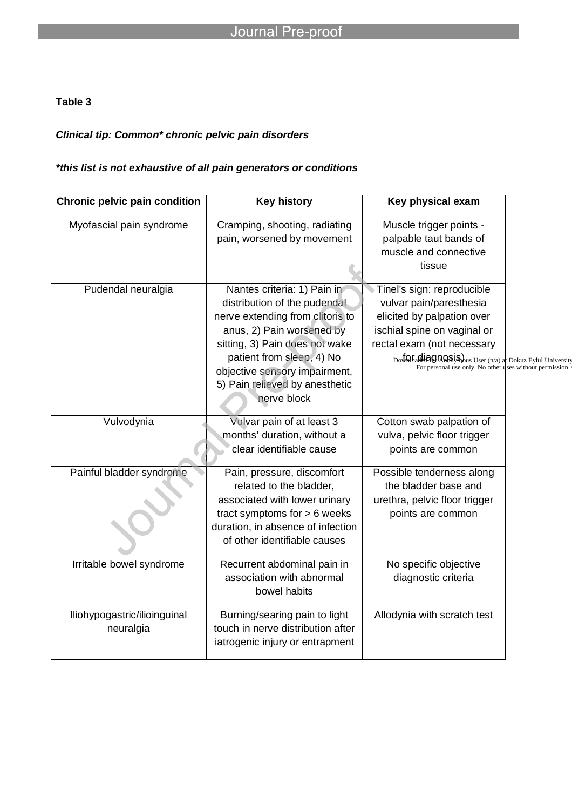# *Clinical tip: Common\* chronic pelvic pain disorders*

# *\*this list is not exhaustive of all pain generators or conditions*

| Chronic pelvic pain condition             | <b>Key history</b>                                                                                                                                                                                                                                                            | Key physical exam                                                                                                                                                                                                                                                                                                                                                                                                                                                         |  |
|-------------------------------------------|-------------------------------------------------------------------------------------------------------------------------------------------------------------------------------------------------------------------------------------------------------------------------------|---------------------------------------------------------------------------------------------------------------------------------------------------------------------------------------------------------------------------------------------------------------------------------------------------------------------------------------------------------------------------------------------------------------------------------------------------------------------------|--|
| Myofascial pain syndrome                  | Cramping, shooting, radiating<br>pain, worsened by movement                                                                                                                                                                                                                   | Muscle trigger points -<br>palpable taut bands of<br>muscle and connective<br>tissue                                                                                                                                                                                                                                                                                                                                                                                      |  |
| Pudendal neuralgia                        | Nantes criteria: 1) Pain in<br>distribution of the pudendal<br>nerve extending from clitoris to<br>anus, 2) Pain worsened by<br>sitting, 3) Pain does not wake<br>patient from sleep, 4) No<br>objective sensory impairment,<br>5) Pain relieved by anesthetic<br>nerve block | Tinel's sign: reproducible<br>vulvar pain/paresthesia<br>elicited by palpation over<br>ischial spine on vaginal or<br>rectal exam (not necessary<br>$\mathbf{DofQ}$ $\mathbf{GaG}$ $\mathbf{GQ}$ $\mathbf{AQ}$ $\mathbf{GQ}$ $\mathbf{AQ}$ $\mathbf{SQ}$ $\mathbf{SQ}$ $\mathbf{W}$ $\mathbf{SQ}$ $\mathbf{SQ}$ $\mathbf{SQ}$ $\mathbf{SQ}$ $\mathbf{SQ}$ $\mathbf{SQ}$ $\mathbf{SQ}$ $\mathbf{SQ}$ $\mathbf{SQ}$ $\mathbf{SQ}$ $\mathbf{SQ}$ $\mathbf{SQ}$ $\mathbf{SQ}$ |  |
| Vulvodynia                                | Vulvar pain of at least 3<br>months' duration, without a<br>clear identifiable cause                                                                                                                                                                                          | Cotton swab palpation of<br>vulva, pelvic floor trigger<br>points are common                                                                                                                                                                                                                                                                                                                                                                                              |  |
| Painful bladder syndrome                  | Pain, pressure, discomfort<br>related to the bladder,<br>associated with lower urinary<br>tract symptoms for $> 6$ weeks<br>duration, in absence of infection<br>of other identifiable causes                                                                                 | Possible tenderness along<br>the bladder base and<br>urethra, pelvic floor trigger<br>points are common                                                                                                                                                                                                                                                                                                                                                                   |  |
| Irritable bowel syndrome                  | Recurrent abdominal pain in<br>association with abnormal<br>bowel habits                                                                                                                                                                                                      | No specific objective<br>diagnostic criteria                                                                                                                                                                                                                                                                                                                                                                                                                              |  |
| lliohypogastric/ilioinguinal<br>neuralgia | Burning/searing pain to light<br>touch in nerve distribution after<br>iatrogenic injury or entrapment                                                                                                                                                                         | Allodynia with scratch test                                                                                                                                                                                                                                                                                                                                                                                                                                               |  |